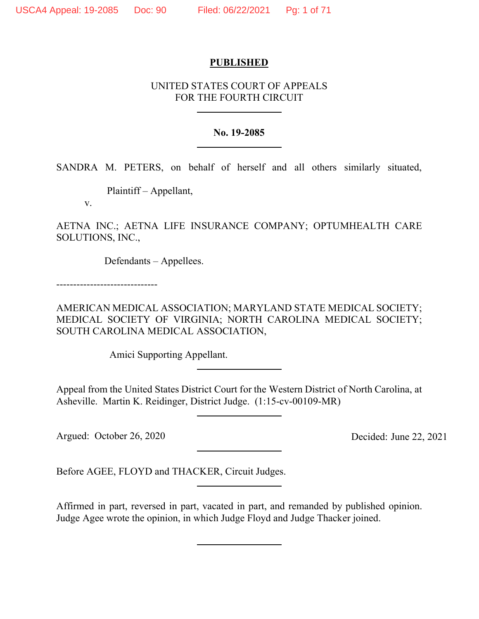# **PUBLISHED**

# UNITED STATES COURT OF APPEALS FOR THE FOURTH CIRCUIT

## **No. 19-2085**

SANDRA M. PETERS, on behalf of herself and all others similarly situated,

Plaintiff – Appellant,

v.

AETNA INC.; AETNA LIFE INSURANCE COMPANY; OPTUMHEALTH CARE SOLUTIONS, INC.,

Defendants – Appellees.

------------------------------

AMERICAN MEDICAL ASSOCIATION; MARYLAND STATE MEDICAL SOCIETY; MEDICAL SOCIETY OF VIRGINIA; NORTH CAROLINA MEDICAL SOCIETY; SOUTH CAROLINA MEDICAL ASSOCIATION,

Amici Supporting Appellant.

Appeal from the United States District Court for the Western District of North Carolina, at Asheville. Martin K. Reidinger, District Judge. (1:15-cv-00109-MR)

Argued: October 26, 2020

Decided: June 22, 2021

Before AGEE, FLOYD and THACKER, Circuit Judges.

Affirmed in part, reversed in part, vacated in part, and remanded by published opinion. Judge Agee wrote the opinion, in which Judge Floyd and Judge Thacker joined.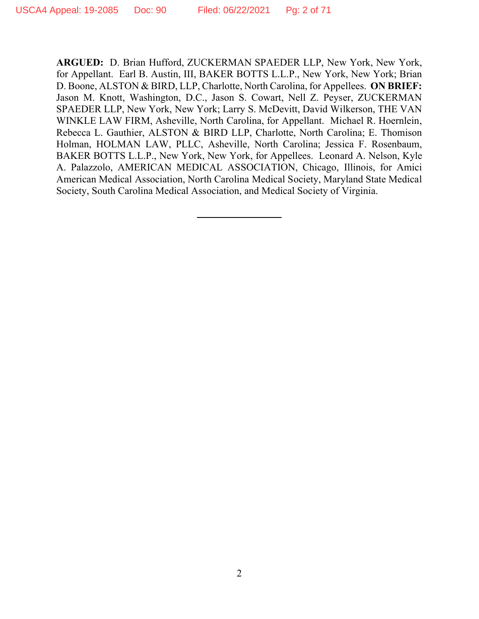**ARGUED:** D. Brian Hufford, ZUCKERMAN SPAEDER LLP, New York, New York, for Appellant. Earl B. Austin, III, BAKER BOTTS L.L.P., New York, New York; Brian D. Boone, ALSTON & BIRD, LLP, Charlotte, North Carolina, for Appellees. **ON BRIEF:**  Jason M. Knott, Washington, D.C., Jason S. Cowart, Nell Z. Peyser, ZUCKERMAN SPAEDER LLP, New York, New York; Larry S. McDevitt, David Wilkerson, THE VAN WINKLE LAW FIRM, Asheville, North Carolina, for Appellant. Michael R. Hoernlein, Rebecca L. Gauthier, ALSTON & BIRD LLP, Charlotte, North Carolina; E. Thomison Holman, HOLMAN LAW, PLLC, Asheville, North Carolina; Jessica F. Rosenbaum, BAKER BOTTS L.L.P., New York, New York, for Appellees. Leonard A. Nelson, Kyle A. Palazzolo, AMERICAN MEDICAL ASSOCIATION, Chicago, Illinois, for Amici American Medical Association, North Carolina Medical Society, Maryland State Medical Society, South Carolina Medical Association, and Medical Society of Virginia.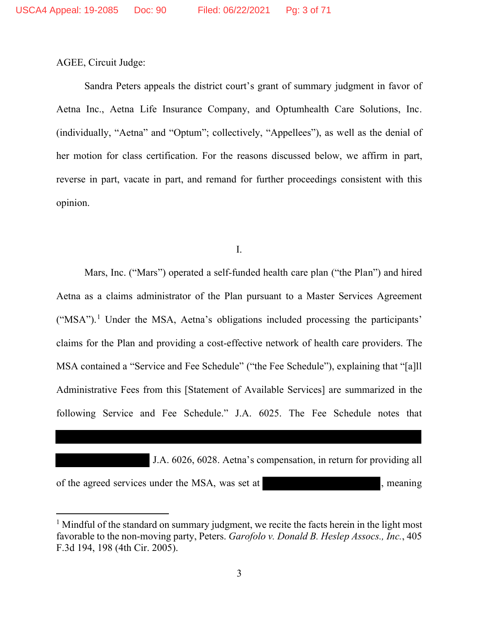AGEE, Circuit Judge:

Sandra Peters appeals the district court's grant of summary judgment in favor of Aetna Inc., Aetna Life Insurance Company, and Optumhealth Care Solutions, Inc. (individually, "Aetna" and "Optum"; collectively, "Appellees"), as well as the denial of her motion for class certification. For the reasons discussed below, we affirm in part, reverse in part, vacate in part, and remand for further proceedings consistent with this opinion.

I.

Mars, Inc. ("Mars") operated a self-funded health care plan ("the Plan") and hired Aetna as a claims administrator of the Plan pursuant to a Master Services Agreement ("MSA").<sup>1</sup> Under the MSA, Aetna's obligations included processing the participants' claims for the Plan and providing a cost-effective network of health care providers. The MSA contained a "Service and Fee Schedule" ("the Fee Schedule"), explaining that "[a]ll Administrative Fees from this [Statement of Available Services] are summarized in the following Service and Fee Schedule." J.A. 6025. The Fee Schedule notes that

 J.A. 6026, 6028. Aetna's compensation, in return for providing all of the agreed services under the MSA, was set at , meaning , meaning

<sup>&</sup>lt;sup>1</sup> Mindful of the standard on summary judgment, we recite the facts herein in the light most favorable to the non-moving party, Peters. *Garofolo v. Donald B. Heslep Assocs., Inc.*, 405 F.3d 194, 198 (4th Cir. 2005).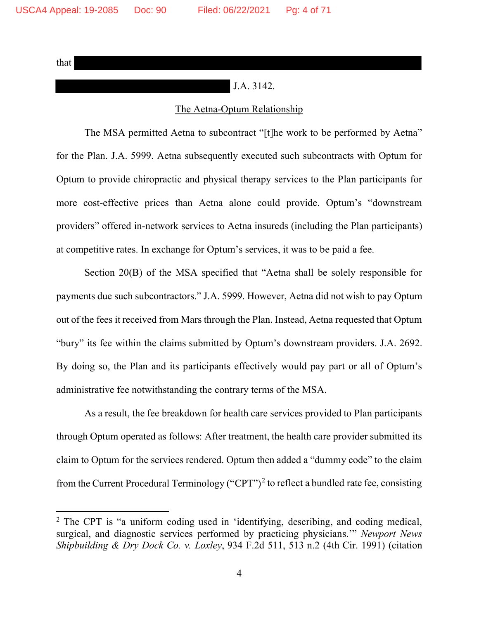that

# J.A. 3142.

# The Aetna-Optum Relationship

The MSA permitted Aetna to subcontract "[t]he work to be performed by Aetna" for the Plan. J.A. 5999. Aetna subsequently executed such subcontracts with Optum for Optum to provide chiropractic and physical therapy services to the Plan participants for more cost-effective prices than Aetna alone could provide. Optum's "downstream providers" offered in-network services to Aetna insureds (including the Plan participants) at competitive rates. In exchange for Optum's services, it was to be paid a fee.

Section 20(B) of the MSA specified that "Aetna shall be solely responsible for payments due such subcontractors." J.A. 5999. However, Aetna did not wish to pay Optum out of the fees it received from Mars through the Plan. Instead, Aetna requested that Optum "bury" its fee within the claims submitted by Optum's downstream providers. J.A. 2692. By doing so, the Plan and its participants effectively would pay part or all of Optum's administrative fee notwithstanding the contrary terms of the MSA.

As a result, the fee breakdown for health care services provided to Plan participants through Optum operated as follows: After treatment, the health care provider submitted its claim to Optum for the services rendered. Optum then added a "dummy code" to the claim from the Current Procedural Terminology ("CPT")<sup>2</sup> to reflect a bundled rate fee, consisting

<sup>2</sup> The CPT is "a uniform coding used in 'identifying, describing, and coding medical, surgical, and diagnostic services performed by practicing physicians.'" *Newport News Shipbuilding & Dry Dock Co. v. Loxley*, 934 F.2d 511, 513 n.2 (4th Cir. 1991) (citation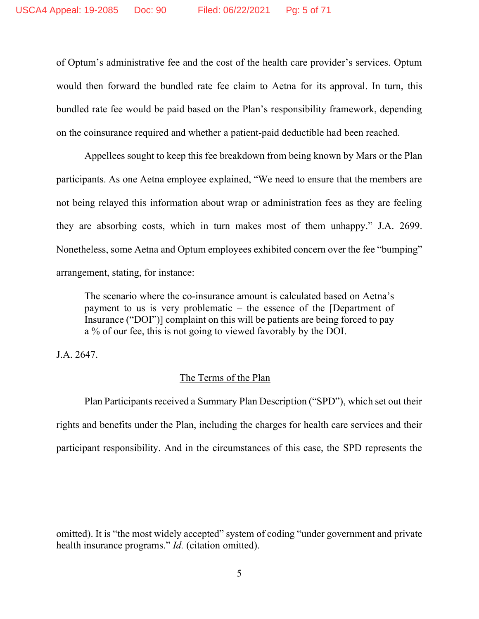of Optum's administrative fee and the cost of the health care provider's services. Optum would then forward the bundled rate fee claim to Aetna for its approval. In turn, this bundled rate fee would be paid based on the Plan's responsibility framework, depending on the coinsurance required and whether a patient-paid deductible had been reached.

Appellees sought to keep this fee breakdown from being known by Mars or the Plan participants. As one Aetna employee explained, "We need to ensure that the members are not being relayed this information about wrap or administration fees as they are feeling they are absorbing costs, which in turn makes most of them unhappy." J.A. 2699. Nonetheless, some Aetna and Optum employees exhibited concern over the fee "bumping" arrangement, stating, for instance:

The scenario where the co-insurance amount is calculated based on Aetna's payment to us is very problematic – the essence of the [Department of Insurance ("DOI")] complaint on this will be patients are being forced to pay a % of our fee, this is not going to viewed favorably by the DOI.

J.A. 2647.

# The Terms of the Plan

Plan Participants received a Summary Plan Description ("SPD"), which set out their rights and benefits under the Plan, including the charges for health care services and their participant responsibility. And in the circumstances of this case, the SPD represents the

omitted). It is "the most widely accepted" system of coding "under government and private health insurance programs." *Id.* (citation omitted).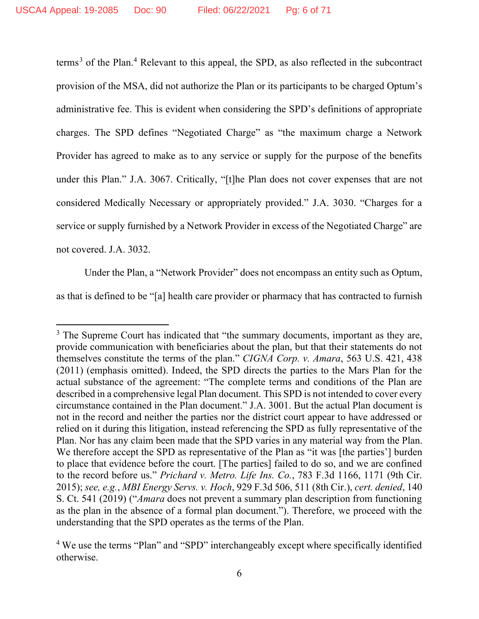terms<sup>3</sup> of the Plan.<sup>4</sup> Relevant to this appeal, the SPD, as also reflected in the subcontract provision of the MSA, did not authorize the Plan or its participants to be charged Optum's administrative fee. This is evident when considering the SPD's definitions of appropriate charges. The SPD defines "Negotiated Charge" as "the maximum charge a Network Provider has agreed to make as to any service or supply for the purpose of the benefits under this Plan." J.A. 3067. Critically, "[t]he Plan does not cover expenses that are not considered Medically Necessary or appropriately provided." J.A. 3030. "Charges for a service or supply furnished by a Network Provider in excess of the Negotiated Charge" are not covered. J.A. 3032.

Under the Plan, a "Network Provider" does not encompass an entity such as Optum,

as that is defined to be "[a] health care provider or pharmacy that has contracted to furnish

<sup>&</sup>lt;sup>3</sup> The Supreme Court has indicated that "the summary documents, important as they are, provide communication with beneficiaries about the plan, but that their statements do not themselves constitute the terms of the plan." *CIGNA Corp. v. Amara*, 563 U.S. 421, 438 (2011) (emphasis omitted). Indeed, the SPD directs the parties to the Mars Plan for the actual substance of the agreement: "The complete terms and conditions of the Plan are described in a comprehensive legal Plan document. This SPD is not intended to cover every circumstance contained in the Plan document." J.A. 3001. But the actual Plan document is not in the record and neither the parties nor the district court appear to have addressed or relied on it during this litigation, instead referencing the SPD as fully representative of the Plan. Nor has any claim been made that the SPD varies in any material way from the Plan. We therefore accept the SPD as representative of the Plan as "it was [the parties'] burden to place that evidence before the court. [The parties] failed to do so, and we are confined to the record before us." *Prichard v. Metro. Life Ins. Co.*, 783 F.3d 1166, 1171 (9th Cir. 2015); *see, e.g.*, *MBI Energy Servs. v. Hoch*, 929 F.3d 506, 511 (8th Cir.), *cert. denied*, 140 S. Ct. 541 (2019) ("*Amara* does not prevent a summary plan description from functioning as the plan in the absence of a formal plan document."). Therefore, we proceed with the understanding that the SPD operates as the terms of the Plan.

<sup>&</sup>lt;sup>4</sup> We use the terms "Plan" and "SPD" interchangeably except where specifically identified otherwise.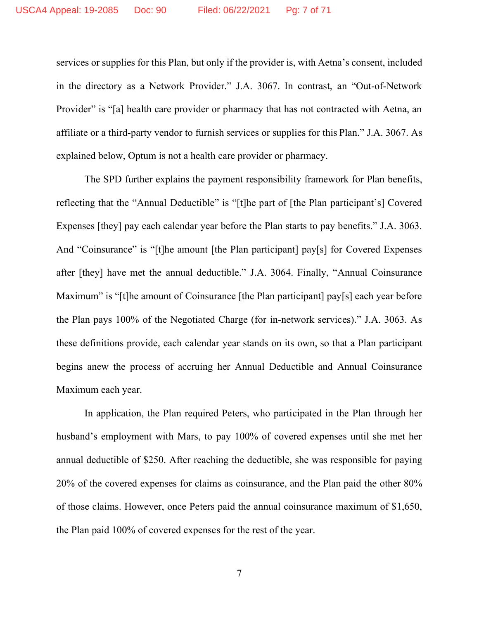services or supplies for this Plan, but only if the provider is, with Aetna's consent, included in the directory as a Network Provider." J.A. 3067. In contrast, an "Out-of-Network Provider" is "[a] health care provider or pharmacy that has not contracted with Aetna, an affiliate or a third-party vendor to furnish services or supplies for this Plan." J.A. 3067. As explained below, Optum is not a health care provider or pharmacy.

The SPD further explains the payment responsibility framework for Plan benefits, reflecting that the "Annual Deductible" is "[t]he part of [the Plan participant's] Covered Expenses [they] pay each calendar year before the Plan starts to pay benefits." J.A. 3063. And "Coinsurance" is "[t]he amount [the Plan participant] pay[s] for Covered Expenses after [they] have met the annual deductible." J.A. 3064. Finally, "Annual Coinsurance Maximum" is "[t]he amount of Coinsurance [the Plan participant] pay[s] each year before the Plan pays 100% of the Negotiated Charge (for in-network services)." J.A. 3063. As these definitions provide, each calendar year stands on its own, so that a Plan participant begins anew the process of accruing her Annual Deductible and Annual Coinsurance Maximum each year.

In application, the Plan required Peters, who participated in the Plan through her husband's employment with Mars, to pay 100% of covered expenses until she met her annual deductible of \$250. After reaching the deductible, she was responsible for paying 20% of the covered expenses for claims as coinsurance, and the Plan paid the other 80% of those claims. However, once Peters paid the annual coinsurance maximum of \$1,650, the Plan paid 100% of covered expenses for the rest of the year.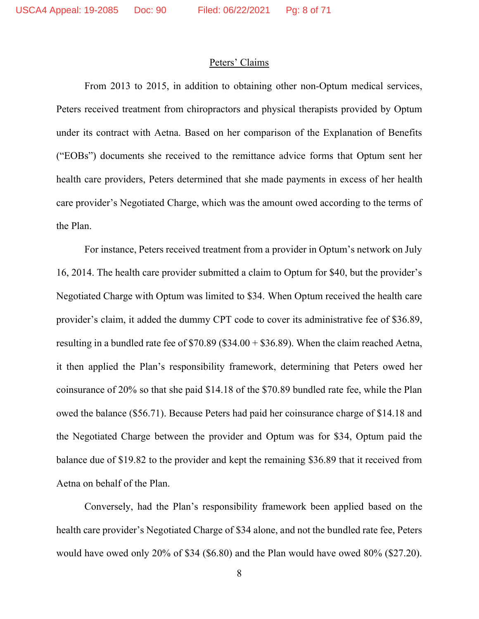## Peters' Claims

From 2013 to 2015, in addition to obtaining other non-Optum medical services, Peters received treatment from chiropractors and physical therapists provided by Optum under its contract with Aetna. Based on her comparison of the Explanation of Benefits ("EOBs") documents she received to the remittance advice forms that Optum sent her health care providers, Peters determined that she made payments in excess of her health care provider's Negotiated Charge, which was the amount owed according to the terms of the Plan.

For instance, Peters received treatment from a provider in Optum's network on July 16, 2014. The health care provider submitted a claim to Optum for \$40, but the provider's Negotiated Charge with Optum was limited to \$34. When Optum received the health care provider's claim, it added the dummy CPT code to cover its administrative fee of \$36.89, resulting in a bundled rate fee of  $$70.89$  (\$34.00 + \$36.89). When the claim reached Aetna, it then applied the Plan's responsibility framework, determining that Peters owed her coinsurance of 20% so that she paid \$14.18 of the \$70.89 bundled rate fee, while the Plan owed the balance (\$56.71). Because Peters had paid her coinsurance charge of \$14.18 and the Negotiated Charge between the provider and Optum was for \$34, Optum paid the balance due of \$19.82 to the provider and kept the remaining \$36.89 that it received from Aetna on behalf of the Plan.

Conversely, had the Plan's responsibility framework been applied based on the health care provider's Negotiated Charge of \$34 alone, and not the bundled rate fee, Peters would have owed only 20% of \$34 (\$6.80) and the Plan would have owed 80% (\$27.20).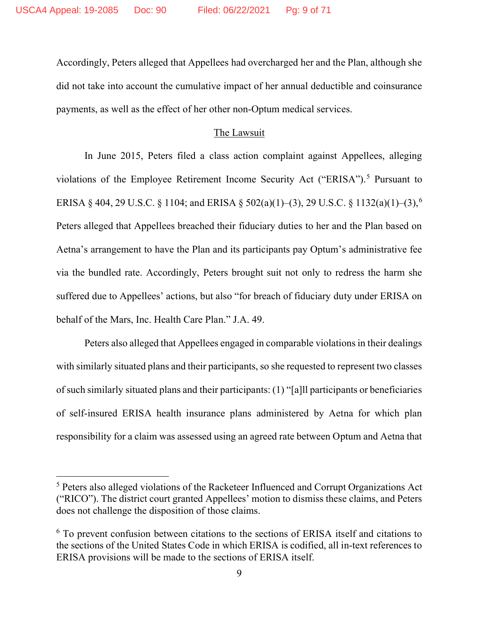Accordingly, Peters alleged that Appellees had overcharged her and the Plan, although she did not take into account the cumulative impact of her annual deductible and coinsurance payments, as well as the effect of her other non-Optum medical services.

# The Lawsuit

In June 2015, Peters filed a class action complaint against Appellees, alleging violations of the Employee Retirement Income Security Act ("ERISA").<sup>5</sup> Pursuant to ERISA § 404, 29 U.S.C. § 1104; and ERISA § 502(a)(1)–(3), 29 U.S.C. § 1132(a)(1)–(3), 6 Peters alleged that Appellees breached their fiduciary duties to her and the Plan based on Aetna's arrangement to have the Plan and its participants pay Optum's administrative fee via the bundled rate. Accordingly, Peters brought suit not only to redress the harm she suffered due to Appellees' actions, but also "for breach of fiduciary duty under ERISA on behalf of the Mars, Inc. Health Care Plan." J.A. 49.

Peters also alleged that Appellees engaged in comparable violations in their dealings with similarly situated plans and their participants, so she requested to represent two classes of such similarly situated plans and their participants: (1) "[a]ll participants or beneficiaries of self-insured ERISA health insurance plans administered by Aetna for which plan responsibility for a claim was assessed using an agreed rate between Optum and Aetna that

<sup>5</sup> Peters also alleged violations of the Racketeer Influenced and Corrupt Organizations Act ("RICO"). The district court granted Appellees' motion to dismiss these claims, and Peters does not challenge the disposition of those claims.

<sup>&</sup>lt;sup>6</sup> To prevent confusion between citations to the sections of ERISA itself and citations to the sections of the United States Code in which ERISA is codified, all in-text references to ERISA provisions will be made to the sections of ERISA itself.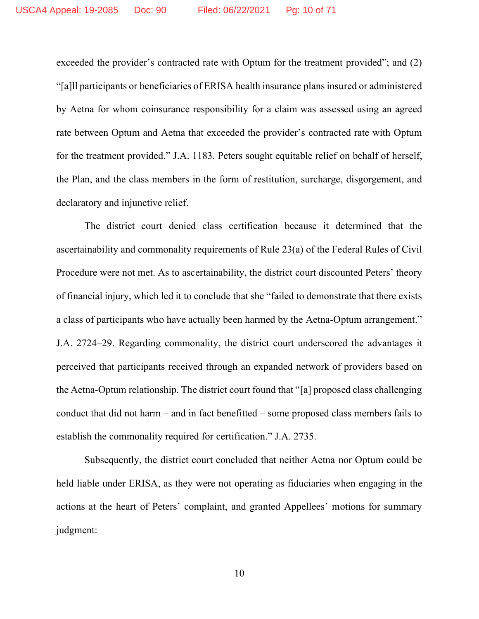exceeded the provider's contracted rate with Optum for the treatment provided"; and (2) "[a]ll participants or beneficiaries of ERISA health insurance plans insured or administered by Aetna for whom coinsurance responsibility for a claim was assessed using an agreed rate between Optum and Aetna that exceeded the provider's contracted rate with Optum for the treatment provided." J.A. 1183. Peters sought equitable relief on behalf of herself, the Plan, and the class members in the form of restitution, surcharge, disgorgement, and declaratory and injunctive relief.

The district court denied class certification because it determined that the ascertainability and commonality requirements of Rule 23(a) of the Federal Rules of Civil Procedure were not met. As to ascertainability, the district court discounted Peters' theory of financial injury, which led it to conclude that she "failed to demonstrate that there exists a class of participants who have actually been harmed by the Aetna-Optum arrangement." J.A. 2724–29. Regarding commonality, the district court underscored the advantages it perceived that participants received through an expanded network of providers based on the Aetna-Optum relationship. The district court found that "[a] proposed class challenging conduct that did not harm – and in fact benefitted – some proposed class members fails to establish the commonality required for certification." J.A. 2735.

Subsequently, the district court concluded that neither Aetna nor Optum could be held liable under ERISA, as they were not operating as fiduciaries when engaging in the actions at the heart of Peters' complaint, and granted Appellees' motions for summary judgment: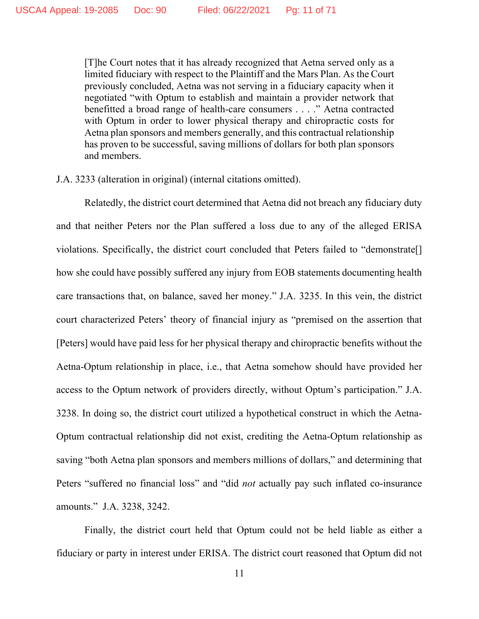[T]he Court notes that it has already recognized that Aetna served only as a limited fiduciary with respect to the Plaintiff and the Mars Plan. As the Court previously concluded, Aetna was not serving in a fiduciary capacity when it negotiated "with Optum to establish and maintain a provider network that benefitted a broad range of health-care consumers . . . ." Aetna contracted with Optum in order to lower physical therapy and chiropractic costs for Aetna plan sponsors and members generally, and this contractual relationship has proven to be successful, saving millions of dollars for both plan sponsors and members.

J.A. 3233 (alteration in original) (internal citations omitted).

Relatedly, the district court determined that Aetna did not breach any fiduciary duty and that neither Peters nor the Plan suffered a loss due to any of the alleged ERISA violations. Specifically, the district court concluded that Peters failed to "demonstrate[] how she could have possibly suffered any injury from EOB statements documenting health care transactions that, on balance, saved her money." J.A. 3235. In this vein, the district court characterized Peters' theory of financial injury as "premised on the assertion that [Peters] would have paid less for her physical therapy and chiropractic benefits without the Aetna-Optum relationship in place, i.e., that Aetna somehow should have provided her access to the Optum network of providers directly, without Optum's participation." J.A. 3238. In doing so, the district court utilized a hypothetical construct in which the Aetna-Optum contractual relationship did not exist, crediting the Aetna-Optum relationship as saving "both Aetna plan sponsors and members millions of dollars," and determining that Peters "suffered no financial loss" and "did *not* actually pay such inflated co-insurance amounts." J.A. 3238, 3242.

Finally, the district court held that Optum could not be held liable as either a fiduciary or party in interest under ERISA. The district court reasoned that Optum did not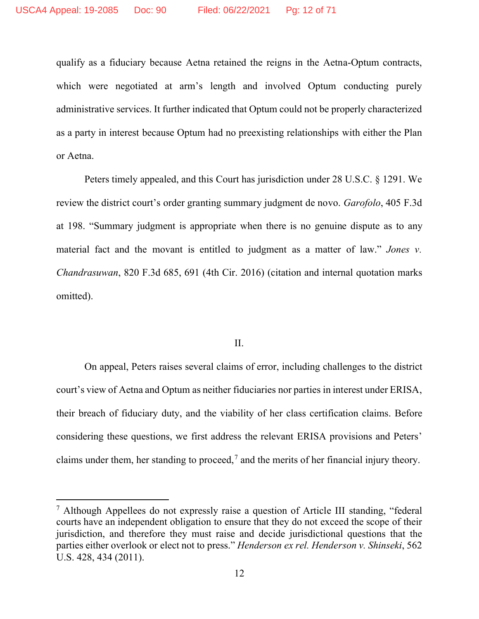qualify as a fiduciary because Aetna retained the reigns in the Aetna-Optum contracts, which were negotiated at arm's length and involved Optum conducting purely administrative services. It further indicated that Optum could not be properly characterized as a party in interest because Optum had no preexisting relationships with either the Plan or Aetna.

Peters timely appealed, and this Court has jurisdiction under 28 U.S.C. § 1291. We review the district court's order granting summary judgment de novo. *Garofolo*, 405 F.3d at 198. "Summary judgment is appropriate when there is no genuine dispute as to any material fact and the movant is entitled to judgment as a matter of law." *Jones v. Chandrasuwan*, 820 F.3d 685, 691 (4th Cir. 2016) (citation and internal quotation marks omitted).

### II.

On appeal, Peters raises several claims of error, including challenges to the district court's view of Aetna and Optum as neither fiduciaries nor parties in interest under ERISA, their breach of fiduciary duty, and the viability of her class certification claims. Before considering these questions, we first address the relevant ERISA provisions and Peters' claims under them, her standing to proceed,<sup>7</sup> and the merits of her financial injury theory.

<sup>7</sup> Although Appellees do not expressly raise a question of Article III standing, "federal courts have an independent obligation to ensure that they do not exceed the scope of their jurisdiction, and therefore they must raise and decide jurisdictional questions that the parties either overlook or elect not to press." *Henderson ex rel. Henderson v. Shinseki*, 562 U.S. 428, 434 (2011).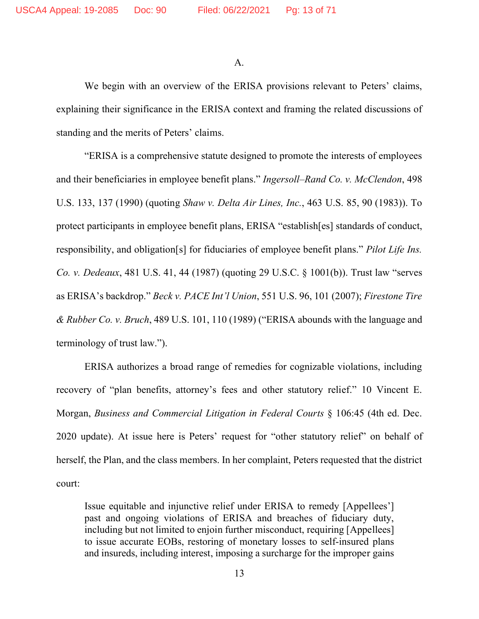A.

We begin with an overview of the ERISA provisions relevant to Peters' claims, explaining their significance in the ERISA context and framing the related discussions of standing and the merits of Peters' claims.

"ERISA is a comprehensive statute designed to promote the interests of employees and their beneficiaries in employee benefit plans." *Ingersoll–Rand Co. v. McClendon*, 498 U.S. 133, 137 (1990) (quoting *Shaw v. Delta Air Lines, Inc.*, 463 U.S. 85, 90 (1983)). To protect participants in employee benefit plans, ERISA "establish[es] standards of conduct, responsibility, and obligation[s] for fiduciaries of employee benefit plans." *Pilot Life Ins. Co. v. Dedeaux*, 481 U.S. 41, 44 (1987) (quoting 29 U.S.C. § 1001(b)). Trust law "serves as ERISA's backdrop." *Beck v. PACE Int'l Union*, 551 U.S. 96, 101 (2007); *Firestone Tire & Rubber Co. v. Bruch*, 489 U.S. 101, 110 (1989) ("ERISA abounds with the language and terminology of trust law.").

ERISA authorizes a broad range of remedies for cognizable violations, including recovery of "plan benefits, attorney's fees and other statutory relief." 10 Vincent E. Morgan, *Business and Commercial Litigation in Federal Courts* § 106:45 (4th ed. Dec. 2020 update). At issue here is Peters' request for "other statutory relief" on behalf of herself, the Plan, and the class members. In her complaint, Peters requested that the district court:

Issue equitable and injunctive relief under ERISA to remedy [Appellees'] past and ongoing violations of ERISA and breaches of fiduciary duty, including but not limited to enjoin further misconduct, requiring [Appellees] to issue accurate EOBs, restoring of monetary losses to self-insured plans and insureds, including interest, imposing a surcharge for the improper gains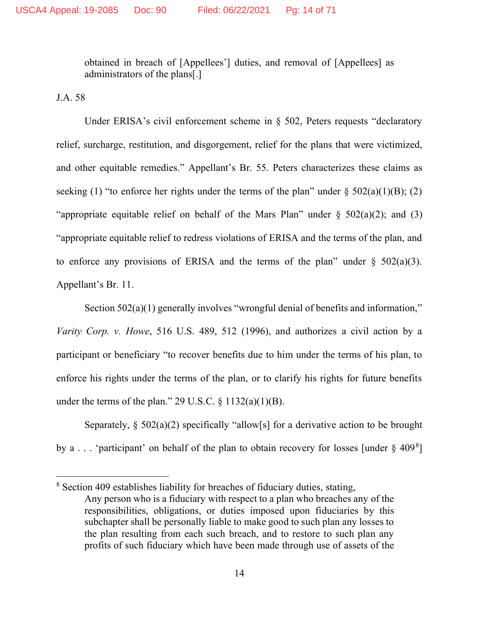obtained in breach of [Appellees'] duties, and removal of [Appellees] as administrators of the plans[.]

J.A. 58

Under ERISA's civil enforcement scheme in § 502, Peters requests "declaratory" relief, surcharge, restitution, and disgorgement, relief for the plans that were victimized, and other equitable remedies." Appellant's Br. 55. Peters characterizes these claims as seeking (1) "to enforce her rights under the terms of the plan" under  $\S 502(a)(1)(B)$ ; (2) "appropriate equitable relief on behalf of the Mars Plan" under  $\S$  502(a)(2); and (3) "appropriate equitable relief to redress violations of ERISA and the terms of the plan, and to enforce any provisions of ERISA and the terms of the plan" under  $\S$  502(a)(3). Appellant's Br. 11.

Section 502(a)(1) generally involves "wrongful denial of benefits and information," *Varity Corp. v. Howe*, 516 U.S. 489, 512 (1996), and authorizes a civil action by a participant or beneficiary "to recover benefits due to him under the terms of his plan, to enforce his rights under the terms of the plan, or to clarify his rights for future benefits under the terms of the plan." 29 U.S.C.  $\S 1132(a)(1)(B)$ .

Separately,  $\S 502(a)(2)$  specifically "allow[s] for a derivative action to be brought by a . . . 'participant' on behalf of the plan to obtain recovery for losses [under  $\S$  409<sup>8</sup>]

<sup>8</sup> Section 409 establishes liability for breaches of fiduciary duties, stating, Any person who is a fiduciary with respect to a plan who breaches any of the responsibilities, obligations, or duties imposed upon fiduciaries by this subchapter shall be personally liable to make good to such plan any losses to the plan resulting from each such breach, and to restore to such plan any profits of such fiduciary which have been made through use of assets of the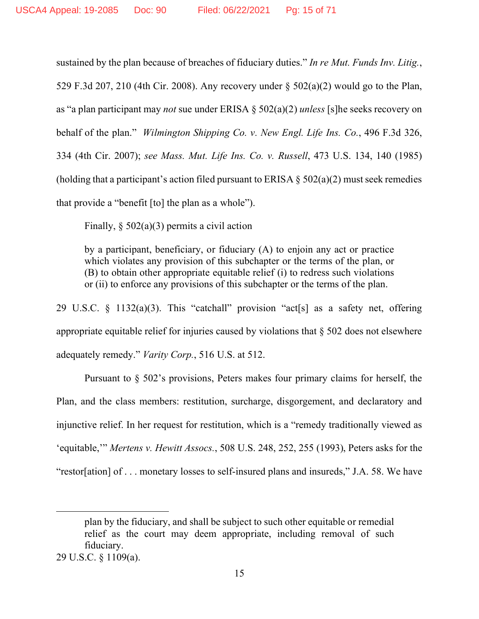sustained by the plan because of breaches of fiduciary duties." *In re Mut. Funds Inv. Litig.*, 529 F.3d 207, 210 (4th Cir. 2008). Any recovery under § 502(a)(2) would go to the Plan, as "a plan participant may *not* sue under ERISA § 502(a)(2) *unless* [s]he seeks recovery on behalf of the plan." *Wilmington Shipping Co. v. New Engl. Life Ins. Co.*, 496 F.3d 326, 334 (4th Cir. 2007); *see Mass. Mut. Life Ins. Co. v. Russell*, 473 U.S. 134, 140 (1985) (holding that a participant's action filed pursuant to ERISA  $\S$  502(a)(2) must seek remedies that provide a "benefit [to] the plan as a whole").

Finally,  $\S 502(a)(3)$  permits a civil action

by a participant, beneficiary, or fiduciary (A) to enjoin any act or practice which violates any provision of this subchapter or the terms of the plan, or (B) to obtain other appropriate equitable relief (i) to redress such violations or (ii) to enforce any provisions of this subchapter or the terms of the plan.

29 U.S.C. § 1132(a)(3). This "catchall" provision "act[s] as a safety net, offering appropriate equitable relief for injuries caused by violations that § 502 does not elsewhere adequately remedy." *Varity Corp.*, 516 U.S. at 512.

Pursuant to § 502's provisions, Peters makes four primary claims for herself, the Plan, and the class members: restitution, surcharge, disgorgement, and declaratory and injunctive relief. In her request for restitution, which is a "remedy traditionally viewed as 'equitable,'" *Mertens v. Hewitt Assocs.*, 508 U.S. 248, 252, 255 (1993), Peters asks for the "restor[ation] of . . . monetary losses to self-insured plans and insureds," J.A. 58. We have

plan by the fiduciary, and shall be subject to such other equitable or remedial relief as the court may deem appropriate, including removal of such fiduciary.

<sup>29</sup> U.S.C. § 1109(a).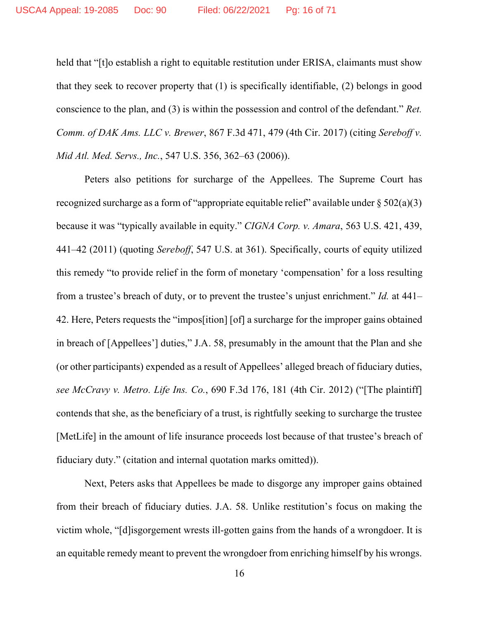held that "[t]o establish a right to equitable restitution under ERISA, claimants must show that they seek to recover property that (1) is specifically identifiable, (2) belongs in good conscience to the plan, and (3) is within the possession and control of the defendant." *Ret. Comm. of DAK Ams. LLC v. Brewer*, 867 F.3d 471, 479 (4th Cir. 2017) (citing *Sereboff v. Mid Atl. Med. Servs., Inc.*, 547 U.S. 356, 362–63 (2006)).

Peters also petitions for surcharge of the Appellees. The Supreme Court has recognized surcharge as a form of "appropriate equitable relief" available under  $\S 502(a)(3)$ because it was "typically available in equity." *CIGNA Corp. v. Amara*, 563 U.S. 421, 439, 441–42 (2011) (quoting *Sereboff*, 547 U.S. at 361). Specifically, courts of equity utilized this remedy "to provide relief in the form of monetary 'compensation' for a loss resulting from a trustee's breach of duty, or to prevent the trustee's unjust enrichment." *Id.* at 441– 42. Here, Peters requests the "impos[ition] [of] a surcharge for the improper gains obtained in breach of [Appellees'] duties," J.A. 58, presumably in the amount that the Plan and she (or other participants) expended as a result of Appellees' alleged breach of fiduciary duties, *see McCravy v. Metro. Life Ins. Co.*, 690 F.3d 176, 181 (4th Cir. 2012) ("[The plaintiff] contends that she, as the beneficiary of a trust, is rightfully seeking to surcharge the trustee [MetLife] in the amount of life insurance proceeds lost because of that trustee's breach of fiduciary duty." (citation and internal quotation marks omitted)).

Next, Peters asks that Appellees be made to disgorge any improper gains obtained from their breach of fiduciary duties. J.A. 58. Unlike restitution's focus on making the victim whole, "[d]isgorgement wrests ill-gotten gains from the hands of a wrongdoer. It is an equitable remedy meant to prevent the wrongdoer from enriching himself by his wrongs.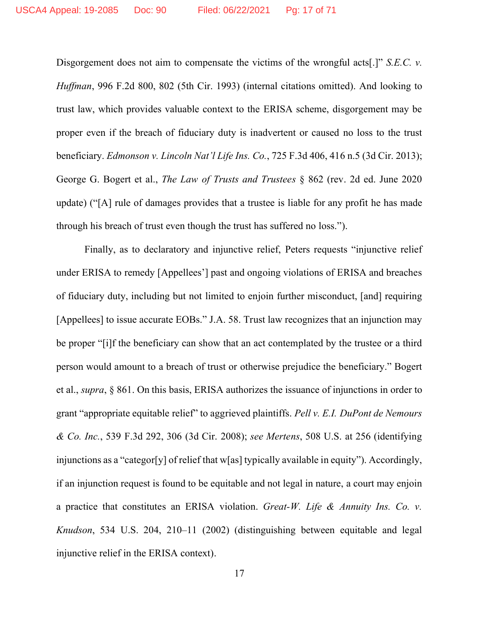Disgorgement does not aim to compensate the victims of the wrongful acts[.]" *S.E.C. v. Huffman*, 996 F.2d 800, 802 (5th Cir. 1993) (internal citations omitted). And looking to trust law, which provides valuable context to the ERISA scheme, disgorgement may be proper even if the breach of fiduciary duty is inadvertent or caused no loss to the trust beneficiary. *Edmonson v. Lincoln Nat'l Life Ins. Co.*, 725 F.3d 406, 416 n.5 (3d Cir. 2013); George G. Bogert et al., *The Law of Trusts and Trustees* § 862 (rev. 2d ed. June 2020 update) ("[A] rule of damages provides that a trustee is liable for any profit he has made through his breach of trust even though the trust has suffered no loss.").

Finally, as to declaratory and injunctive relief, Peters requests "injunctive relief under ERISA to remedy [Appellees'] past and ongoing violations of ERISA and breaches of fiduciary duty, including but not limited to enjoin further misconduct, [and] requiring [Appellees] to issue accurate EOBs." J.A. 58. Trust law recognizes that an injunction may be proper "[i]f the beneficiary can show that an act contemplated by the trustee or a third person would amount to a breach of trust or otherwise prejudice the beneficiary." Bogert et al., *supra*, § 861. On this basis, ERISA authorizes the issuance of injunctions in order to grant "appropriate equitable relief" to aggrieved plaintiffs. *Pell v. E.I. DuPont de Nemours & Co. Inc.*, 539 F.3d 292, 306 (3d Cir. 2008); *see Mertens*, 508 U.S. at 256 (identifying injunctions as a "categor[y] of relief that w[as] typically available in equity"). Accordingly, if an injunction request is found to be equitable and not legal in nature, a court may enjoin a practice that constitutes an ERISA violation. *Great-W. Life & Annuity Ins. Co. v. Knudson*, 534 U.S. 204, 210–11 (2002) (distinguishing between equitable and legal injunctive relief in the ERISA context).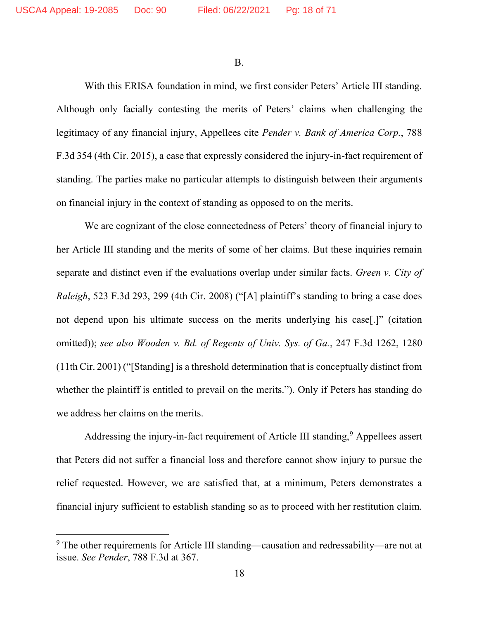B.

With this ERISA foundation in mind, we first consider Peters' Article III standing. Although only facially contesting the merits of Peters' claims when challenging the legitimacy of any financial injury, Appellees cite *Pender v. Bank of America Corp.*, 788 F.3d 354 (4th Cir. 2015), a case that expressly considered the injury-in-fact requirement of standing. The parties make no particular attempts to distinguish between their arguments on financial injury in the context of standing as opposed to on the merits.

We are cognizant of the close connectedness of Peters' theory of financial injury to her Article III standing and the merits of some of her claims. But these inquiries remain separate and distinct even if the evaluations overlap under similar facts. *Green v. City of Raleigh*, 523 F.3d 293, 299 (4th Cir. 2008) ("[A] plaintiff's standing to bring a case does not depend upon his ultimate success on the merits underlying his case[.]" (citation omitted)); *see also Wooden v. Bd. of Regents of Univ. Sys. of Ga.*, 247 F.3d 1262, 1280 (11th Cir. 2001) ("[Standing] is a threshold determination that is conceptually distinct from whether the plaintiff is entitled to prevail on the merits."). Only if Peters has standing do we address her claims on the merits.

Addressing the injury-in-fact requirement of Article III standing, <sup>9</sup> Appellees assert that Peters did not suffer a financial loss and therefore cannot show injury to pursue the relief requested. However, we are satisfied that, at a minimum, Peters demonstrates a financial injury sufficient to establish standing so as to proceed with her restitution claim.

<sup>9</sup> The other requirements for Article III standing—causation and redressability—are not at issue. *See Pender*, 788 F.3d at 367.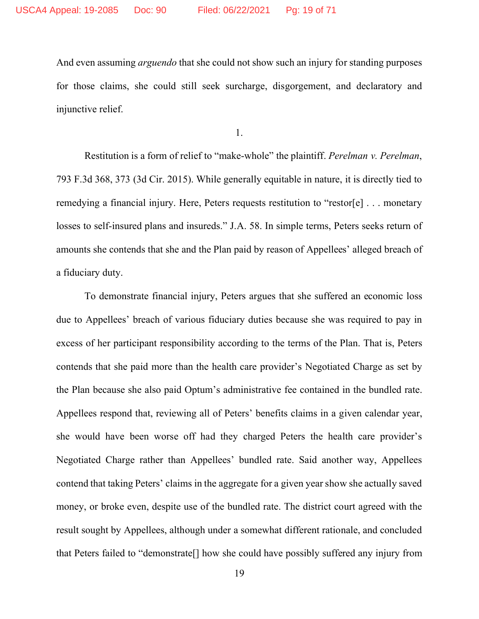And even assuming *arguendo* that she could not show such an injury for standing purposes for those claims, she could still seek surcharge, disgorgement, and declaratory and injunctive relief.

1.

Restitution is a form of relief to "make-whole" the plaintiff. *Perelman v. Perelman*, 793 F.3d 368, 373 (3d Cir. 2015). While generally equitable in nature, it is directly tied to remedying a financial injury. Here, Peters requests restitution to "restor[e] . . . monetary losses to self-insured plans and insureds." J.A. 58. In simple terms, Peters seeks return of amounts she contends that she and the Plan paid by reason of Appellees' alleged breach of a fiduciary duty.

To demonstrate financial injury, Peters argues that she suffered an economic loss due to Appellees' breach of various fiduciary duties because she was required to pay in excess of her participant responsibility according to the terms of the Plan. That is, Peters contends that she paid more than the health care provider's Negotiated Charge as set by the Plan because she also paid Optum's administrative fee contained in the bundled rate. Appellees respond that, reviewing all of Peters' benefits claims in a given calendar year, she would have been worse off had they charged Peters the health care provider's Negotiated Charge rather than Appellees' bundled rate. Said another way, Appellees contend that taking Peters' claims in the aggregate for a given year show she actually saved money, or broke even, despite use of the bundled rate. The district court agreed with the result sought by Appellees, although under a somewhat different rationale, and concluded that Peters failed to "demonstrate[] how she could have possibly suffered any injury from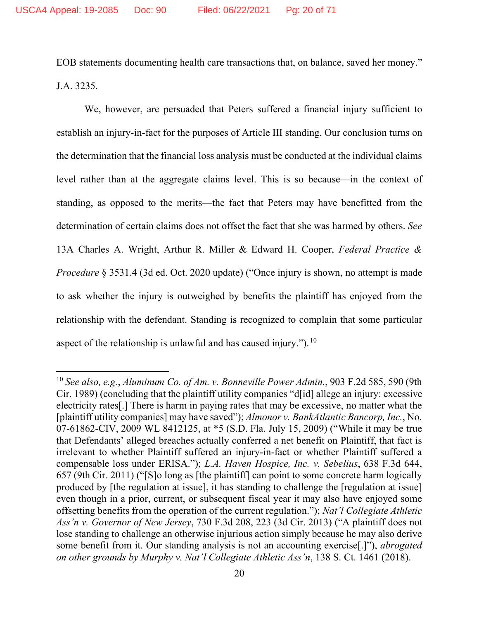EOB statements documenting health care transactions that, on balance, saved her money." J.A. 3235.

We, however, are persuaded that Peters suffered a financial injury sufficient to establish an injury-in-fact for the purposes of Article III standing. Our conclusion turns on the determination that the financial loss analysis must be conducted at the individual claims level rather than at the aggregate claims level. This is so because—in the context of standing, as opposed to the merits—the fact that Peters may have benefitted from the determination of certain claims does not offset the fact that she was harmed by others. *See* 13A Charles A. Wright, Arthur R. Miller & Edward H. Cooper, *Federal Practice & Procedure* § 3531.4 (3d ed. Oct. 2020 update) ("Once injury is shown, no attempt is made to ask whether the injury is outweighed by benefits the plaintiff has enjoyed from the relationship with the defendant. Standing is recognized to complain that some particular aspect of the relationship is unlawful and has caused injury.").  $^{10}$ 

<sup>10</sup> *See also, e.g.*, *Aluminum Co. of Am. v. Bonneville Power Admin.*, 903 F.2d 585, 590 (9th Cir. 1989) (concluding that the plaintiff utility companies "d[id] allege an injury: excessive electricity rates[.] There is harm in paying rates that may be excessive, no matter what the [plaintiff utility companies] may have saved"); *Almonor v. BankAtlantic Bancorp, Inc.*, No. 07-61862-CIV, 2009 WL 8412125, at \*5 (S.D. Fla. July 15, 2009) ("While it may be true that Defendants' alleged breaches actually conferred a net benefit on Plaintiff, that fact is irrelevant to whether Plaintiff suffered an injury-in-fact or whether Plaintiff suffered a compensable loss under ERISA."); *L.A. Haven Hospice, Inc. v. Sebelius*, 638 F.3d 644, 657 (9th Cir. 2011) ("[S]o long as [the plaintiff] can point to some concrete harm logically produced by [the regulation at issue], it has standing to challenge the [regulation at issue] even though in a prior, current, or subsequent fiscal year it may also have enjoyed some offsetting benefits from the operation of the current regulation."); *Nat'l Collegiate Athletic Ass'n v. Governor of New Jersey*, 730 F.3d 208, 223 (3d Cir. 2013) ("A plaintiff does not lose standing to challenge an otherwise injurious action simply because he may also derive some benefit from it. Our standing analysis is not an accounting exercise[.]"), *abrogated on other grounds by Murphy v. Nat'l Collegiate Athletic Ass'n*, 138 S. Ct. 1461 (2018).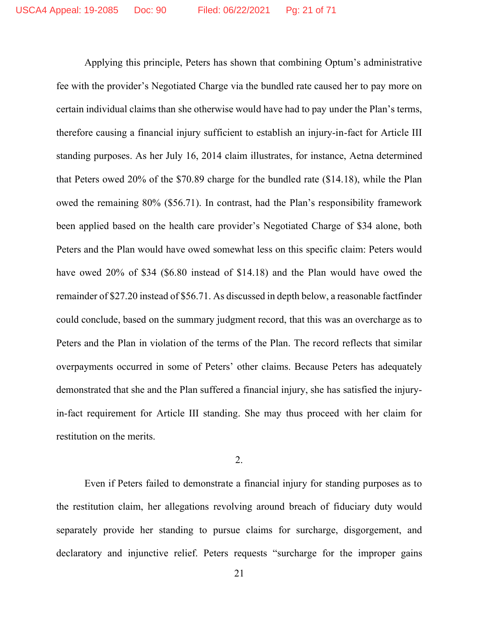Applying this principle, Peters has shown that combining Optum's administrative fee with the provider's Negotiated Charge via the bundled rate caused her to pay more on certain individual claims than she otherwise would have had to pay under the Plan's terms, therefore causing a financial injury sufficient to establish an injury-in-fact for Article III standing purposes. As her July 16, 2014 claim illustrates, for instance, Aetna determined that Peters owed 20% of the \$70.89 charge for the bundled rate (\$14.18), while the Plan owed the remaining 80% (\$56.71). In contrast, had the Plan's responsibility framework been applied based on the health care provider's Negotiated Charge of \$34 alone, both Peters and the Plan would have owed somewhat less on this specific claim: Peters would have owed 20% of \$34 (\$6.80 instead of \$14.18) and the Plan would have owed the remainder of \$27.20 instead of \$56.71. As discussed in depth below, a reasonable factfinder could conclude, based on the summary judgment record, that this was an overcharge as to Peters and the Plan in violation of the terms of the Plan. The record reflects that similar overpayments occurred in some of Peters' other claims. Because Peters has adequately demonstrated that she and the Plan suffered a financial injury, she has satisfied the injuryin-fact requirement for Article III standing. She may thus proceed with her claim for restitution on the merits.

2.

Even if Peters failed to demonstrate a financial injury for standing purposes as to the restitution claim, her allegations revolving around breach of fiduciary duty would separately provide her standing to pursue claims for surcharge, disgorgement, and declaratory and injunctive relief. Peters requests "surcharge for the improper gains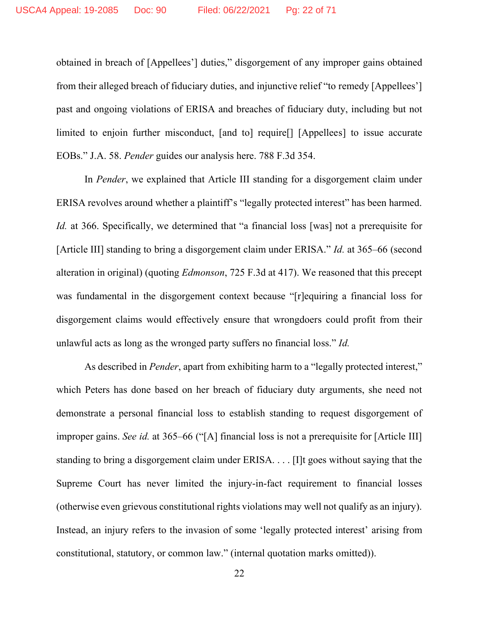obtained in breach of [Appellees'] duties," disgorgement of any improper gains obtained from their alleged breach of fiduciary duties, and injunctive relief "to remedy [Appellees'] past and ongoing violations of ERISA and breaches of fiduciary duty, including but not limited to enjoin further misconduct, [and to] require[] [Appellees] to issue accurate EOBs." J.A. 58. *Pender* guides our analysis here. 788 F.3d 354.

In *Pender*, we explained that Article III standing for a disgorgement claim under ERISA revolves around whether a plaintiff's "legally protected interest" has been harmed. *Id.* at 366. Specifically, we determined that "a financial loss [was] not a prerequisite for [Article III] standing to bring a disgorgement claim under ERISA." *Id.* at 365–66 (second alteration in original) (quoting *Edmonson*, 725 F.3d at 417). We reasoned that this precept was fundamental in the disgorgement context because "[r]equiring a financial loss for disgorgement claims would effectively ensure that wrongdoers could profit from their unlawful acts as long as the wronged party suffers no financial loss." *Id.*

As described in *Pender*, apart from exhibiting harm to a "legally protected interest," which Peters has done based on her breach of fiduciary duty arguments, she need not demonstrate a personal financial loss to establish standing to request disgorgement of improper gains. *See id.* at 365–66 ("[A] financial loss is not a prerequisite for [Article III] standing to bring a disgorgement claim under ERISA. . . . [I]t goes without saying that the Supreme Court has never limited the injury-in-fact requirement to financial losses (otherwise even grievous constitutional rights violations may well not qualify as an injury). Instead, an injury refers to the invasion of some 'legally protected interest' arising from constitutional, statutory, or common law." (internal quotation marks omitted)).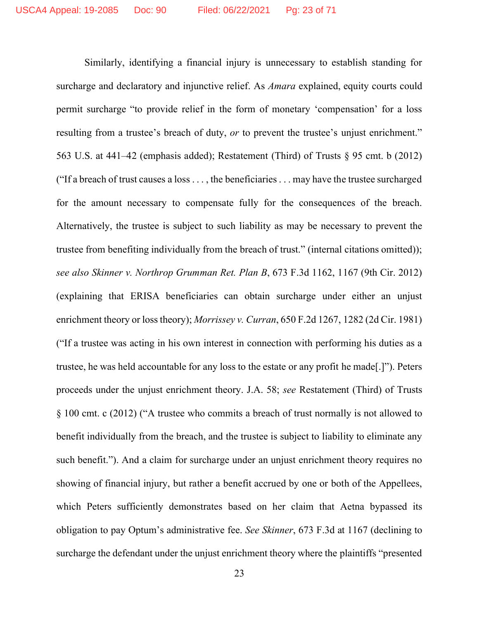Similarly, identifying a financial injury is unnecessary to establish standing for surcharge and declaratory and injunctive relief. As *Amara* explained, equity courts could permit surcharge "to provide relief in the form of monetary 'compensation' for a loss resulting from a trustee's breach of duty, *or* to prevent the trustee's unjust enrichment." 563 U.S. at 441–42 (emphasis added); Restatement (Third) of Trusts § 95 cmt. b (2012) ("If a breach of trust causes a loss . . . , the beneficiaries . . . may have the trustee surcharged for the amount necessary to compensate fully for the consequences of the breach. Alternatively, the trustee is subject to such liability as may be necessary to prevent the trustee from benefiting individually from the breach of trust." (internal citations omitted)); *see also Skinner v. Northrop Grumman Ret. Plan B*, 673 F.3d 1162, 1167 (9th Cir. 2012) (explaining that ERISA beneficiaries can obtain surcharge under either an unjust enrichment theory or loss theory); *Morrissey v. Curran*, 650 F.2d 1267, 1282 (2d Cir. 1981) ("If a trustee was acting in his own interest in connection with performing his duties as a trustee, he was held accountable for any loss to the estate or any profit he made[.]"). Peters proceeds under the unjust enrichment theory. J.A. 58; *see* Restatement (Third) of Trusts § 100 cmt. c (2012) ("A trustee who commits a breach of trust normally is not allowed to benefit individually from the breach, and the trustee is subject to liability to eliminate any such benefit."). And a claim for surcharge under an unjust enrichment theory requires no showing of financial injury, but rather a benefit accrued by one or both of the Appellees, which Peters sufficiently demonstrates based on her claim that Aetna bypassed its obligation to pay Optum's administrative fee. *See Skinner*, 673 F.3d at 1167 (declining to surcharge the defendant under the unjust enrichment theory where the plaintiffs "presented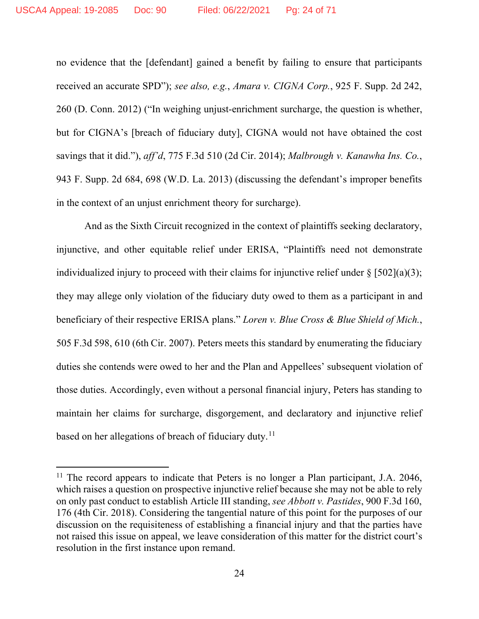no evidence that the [defendant] gained a benefit by failing to ensure that participants received an accurate SPD"); *see also, e.g.*, *Amara v. CIGNA Corp.*, 925 F. Supp. 2d 242, 260 (D. Conn. 2012) ("In weighing unjust-enrichment surcharge, the question is whether, but for CIGNA's [breach of fiduciary duty], CIGNA would not have obtained the cost savings that it did."), *aff'd*, 775 F.3d 510 (2d Cir. 2014); *Malbrough v. Kanawha Ins. Co.*, 943 F. Supp. 2d 684, 698 (W.D. La. 2013) (discussing the defendant's improper benefits in the context of an unjust enrichment theory for surcharge).

And as the Sixth Circuit recognized in the context of plaintiffs seeking declaratory, injunctive, and other equitable relief under ERISA, "Plaintiffs need not demonstrate individualized injury to proceed with their claims for injunctive relief under  $\S [502](a)(3)$ ; they may allege only violation of the fiduciary duty owed to them as a participant in and beneficiary of their respective ERISA plans." *Loren v. Blue Cross & Blue Shield of Mich.*, 505 F.3d 598, 610 (6th Cir. 2007). Peters meets this standard by enumerating the fiduciary duties she contends were owed to her and the Plan and Appellees' subsequent violation of those duties. Accordingly, even without a personal financial injury, Peters has standing to maintain her claims for surcharge, disgorgement, and declaratory and injunctive relief based on her allegations of breach of fiduciary duty.<sup>11</sup>

<sup>&</sup>lt;sup>11</sup> The record appears to indicate that Peters is no longer a Plan participant, J.A. 2046, which raises a question on prospective injunctive relief because she may not be able to rely on only past conduct to establish Article III standing, *see Abbott v. Pastides*, 900 F.3d 160, 176 (4th Cir. 2018). Considering the tangential nature of this point for the purposes of our discussion on the requisiteness of establishing a financial injury and that the parties have not raised this issue on appeal, we leave consideration of this matter for the district court's resolution in the first instance upon remand.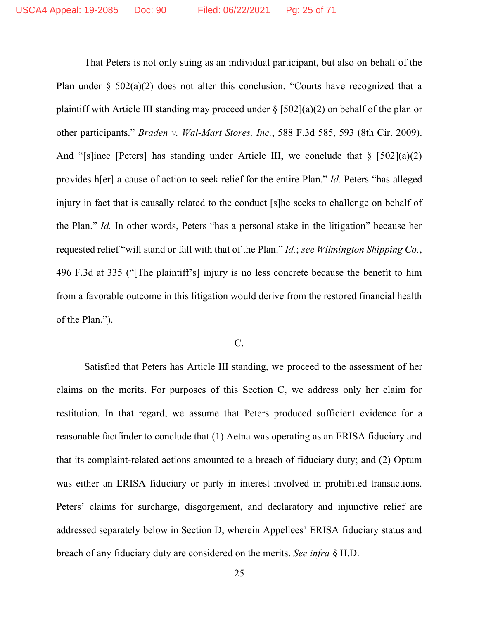That Peters is not only suing as an individual participant, but also on behalf of the Plan under § 502(a)(2) does not alter this conclusion. "Courts have recognized that a plaintiff with Article III standing may proceed under  $\S [502](a)(2)$  on behalf of the plan or other participants." *Braden v. Wal-Mart Stores, Inc.*, 588 F.3d 585, 593 (8th Cir. 2009). And "[s]ince [Peters] has standing under Article III, we conclude that  $\S$  [502](a)(2) provides h[er] a cause of action to seek relief for the entire Plan." *Id.* Peters "has alleged injury in fact that is causally related to the conduct [s]he seeks to challenge on behalf of the Plan." *Id.* In other words, Peters "has a personal stake in the litigation" because her requested relief "will stand or fall with that of the Plan." *Id.*; *see Wilmington Shipping Co.*, 496 F.3d at 335 ("[The plaintiff's] injury is no less concrete because the benefit to him from a favorable outcome in this litigation would derive from the restored financial health of the Plan.").

#### C.

Satisfied that Peters has Article III standing, we proceed to the assessment of her claims on the merits. For purposes of this Section C, we address only her claim for restitution. In that regard, we assume that Peters produced sufficient evidence for a reasonable factfinder to conclude that (1) Aetna was operating as an ERISA fiduciary and that its complaint-related actions amounted to a breach of fiduciary duty; and (2) Optum was either an ERISA fiduciary or party in interest involved in prohibited transactions. Peters' claims for surcharge, disgorgement, and declaratory and injunctive relief are addressed separately below in Section D, wherein Appellees' ERISA fiduciary status and breach of any fiduciary duty are considered on the merits. *See infra* § II.D.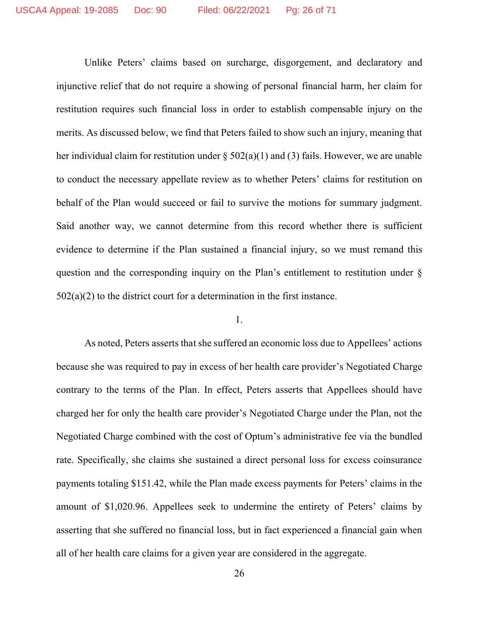Unlike Peters' claims based on surcharge, disgorgement, and declaratory and injunctive relief that do not require a showing of personal financial harm, her claim for restitution requires such financial loss in order to establish compensable injury on the merits. As discussed below, we find that Peters failed to show such an injury, meaning that her individual claim for restitution under  $\S 502(a)(1)$  and (3) fails. However, we are unable to conduct the necessary appellate review as to whether Peters' claims for restitution on behalf of the Plan would succeed or fail to survive the motions for summary judgment. Said another way, we cannot determine from this record whether there is sufficient evidence to determine if the Plan sustained a financial injury, so we must remand this question and the corresponding inquiry on the Plan's entitlement to restitution under §  $502(a)(2)$  to the district court for a determination in the first instance.

## 1.

As noted, Peters asserts that she suffered an economic loss due to Appellees' actions because she was required to pay in excess of her health care provider's Negotiated Charge contrary to the terms of the Plan. In effect, Peters asserts that Appellees should have charged her for only the health care provider's Negotiated Charge under the Plan, not the Negotiated Charge combined with the cost of Optum's administrative fee via the bundled rate. Specifically, she claims she sustained a direct personal loss for excess coinsurance payments totaling \$151.42, while the Plan made excess payments for Peters' claims in the amount of \$1,020.96. Appellees seek to undermine the entirety of Peters' claims by asserting that she suffered no financial loss, but in fact experienced a financial gain when all of her health care claims for a given year are considered in the aggregate.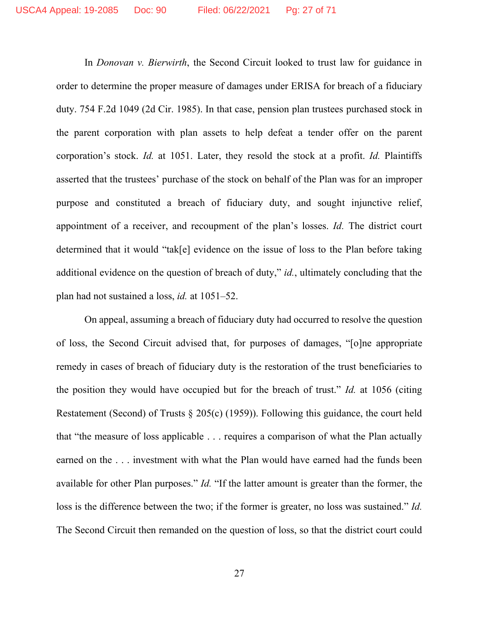In *Donovan v. Bierwirth*, the Second Circuit looked to trust law for guidance in order to determine the proper measure of damages under ERISA for breach of a fiduciary duty. 754 F.2d 1049 (2d Cir. 1985). In that case, pension plan trustees purchased stock in the parent corporation with plan assets to help defeat a tender offer on the parent corporation's stock. *Id.* at 1051. Later, they resold the stock at a profit. *Id.* Plaintiffs asserted that the trustees' purchase of the stock on behalf of the Plan was for an improper purpose and constituted a breach of fiduciary duty, and sought injunctive relief, appointment of a receiver, and recoupment of the plan's losses. *Id.* The district court determined that it would "tak[e] evidence on the issue of loss to the Plan before taking additional evidence on the question of breach of duty," *id.*, ultimately concluding that the plan had not sustained a loss, *id.* at 1051–52.

On appeal, assuming a breach of fiduciary duty had occurred to resolve the question of loss, the Second Circuit advised that, for purposes of damages, "[o]ne appropriate remedy in cases of breach of fiduciary duty is the restoration of the trust beneficiaries to the position they would have occupied but for the breach of trust." *Id.* at 1056 (citing Restatement (Second) of Trusts § 205(c) (1959)). Following this guidance, the court held that "the measure of loss applicable . . . requires a comparison of what the Plan actually earned on the . . . investment with what the Plan would have earned had the funds been available for other Plan purposes." *Id.* "If the latter amount is greater than the former, the loss is the difference between the two; if the former is greater, no loss was sustained." *Id.* The Second Circuit then remanded on the question of loss, so that the district court could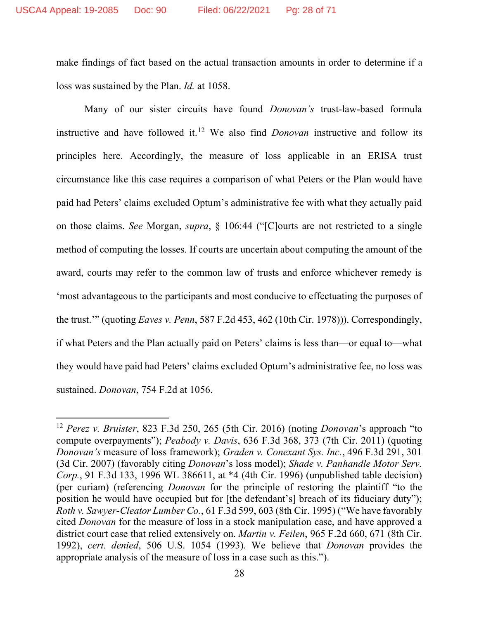make findings of fact based on the actual transaction amounts in order to determine if a loss was sustained by the Plan. *Id.* at 1058.

Many of our sister circuits have found *Donovan's* trust-law-based formula instructive and have followed it. <sup>12</sup> We also find *Donovan* instructive and follow its principles here. Accordingly, the measure of loss applicable in an ERISA trust circumstance like this case requires a comparison of what Peters or the Plan would have paid had Peters' claims excluded Optum's administrative fee with what they actually paid on those claims. *See* Morgan, *supra*, § 106:44 ("[C]ourts are not restricted to a single method of computing the losses. If courts are uncertain about computing the amount of the award, courts may refer to the common law of trusts and enforce whichever remedy is 'most advantageous to the participants and most conducive to effectuating the purposes of the trust.'" (quoting *Eaves v. Penn*, 587 F.2d 453, 462 (10th Cir. 1978))). Correspondingly, if what Peters and the Plan actually paid on Peters' claims is less than—or equal to—what they would have paid had Peters' claims excluded Optum's administrative fee, no loss was sustained. *Donovan*, 754 F.2d at 1056.

<sup>12</sup> *Perez v. Bruister*, 823 F.3d 250, 265 (5th Cir. 2016) (noting *Donovan*'s approach "to compute overpayments"); *Peabody v. Davis*, 636 F.3d 368, 373 (7th Cir. 2011) (quoting *Donovan's* measure of loss framework); *Graden v. Conexant Sys. Inc.*, 496 F.3d 291, 301 (3d Cir. 2007) (favorably citing *Donovan*'s loss model); *Shade v. Panhandle Motor Serv. Corp.*, 91 F.3d 133, 1996 WL 386611, at \*4 (4th Cir. 1996) (unpublished table decision) (per curiam) (referencing *Donovan* for the principle of restoring the plaintiff "to the position he would have occupied but for [the defendant's] breach of its fiduciary duty"); *Roth v. Sawyer-Cleator Lumber Co.*, 61 F.3d 599, 603 (8th Cir. 1995) ("We have favorably cited *Donovan* for the measure of loss in a stock manipulation case, and have approved a district court case that relied extensively on. *Martin v. Feilen*, 965 F.2d 660, 671 (8th Cir. 1992), *cert. denied*, 506 U.S. 1054 (1993). We believe that *Donovan* provides the appropriate analysis of the measure of loss in a case such as this.").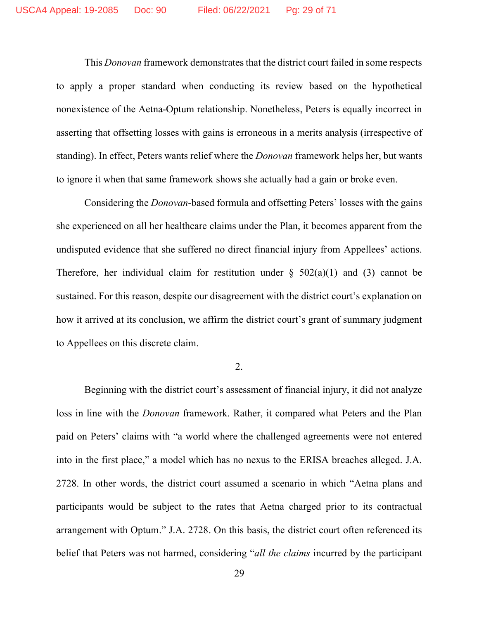This *Donovan* framework demonstrates that the district court failed in some respects to apply a proper standard when conducting its review based on the hypothetical nonexistence of the Aetna-Optum relationship. Nonetheless, Peters is equally incorrect in asserting that offsetting losses with gains is erroneous in a merits analysis (irrespective of standing). In effect, Peters wants relief where the *Donovan* framework helps her, but wants to ignore it when that same framework shows she actually had a gain or broke even.

Considering the *Donovan*-based formula and offsetting Peters' losses with the gains she experienced on all her healthcare claims under the Plan, it becomes apparent from the undisputed evidence that she suffered no direct financial injury from Appellees' actions. Therefore, her individual claim for restitution under  $\S$  502(a)(1) and (3) cannot be sustained. For this reason, despite our disagreement with the district court's explanation on how it arrived at its conclusion, we affirm the district court's grant of summary judgment to Appellees on this discrete claim.

2.

Beginning with the district court's assessment of financial injury, it did not analyze loss in line with the *Donovan* framework. Rather, it compared what Peters and the Plan paid on Peters' claims with "a world where the challenged agreements were not entered into in the first place," a model which has no nexus to the ERISA breaches alleged. J.A. 2728. In other words, the district court assumed a scenario in which "Aetna plans and participants would be subject to the rates that Aetna charged prior to its contractual arrangement with Optum." J.A. 2728. On this basis, the district court often referenced its belief that Peters was not harmed, considering "*all the claims* incurred by the participant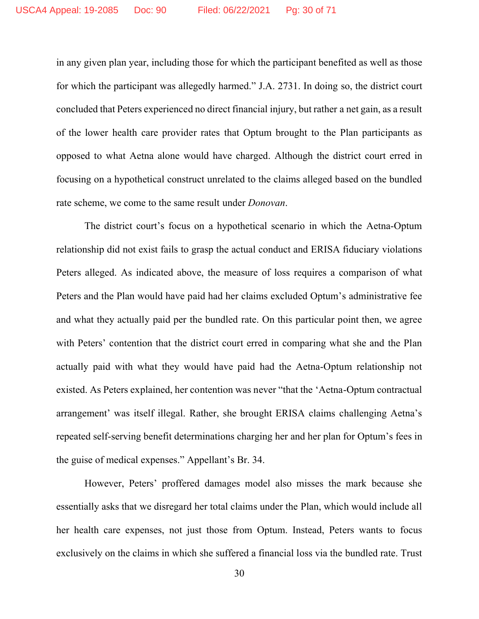in any given plan year, including those for which the participant benefited as well as those for which the participant was allegedly harmed." J.A. 2731. In doing so, the district court concluded that Peters experienced no direct financial injury, but rather a net gain, as a result of the lower health care provider rates that Optum brought to the Plan participants as opposed to what Aetna alone would have charged. Although the district court erred in focusing on a hypothetical construct unrelated to the claims alleged based on the bundled rate scheme, we come to the same result under *Donovan*.

The district court's focus on a hypothetical scenario in which the Aetna-Optum relationship did not exist fails to grasp the actual conduct and ERISA fiduciary violations Peters alleged. As indicated above, the measure of loss requires a comparison of what Peters and the Plan would have paid had her claims excluded Optum's administrative fee and what they actually paid per the bundled rate. On this particular point then, we agree with Peters' contention that the district court erred in comparing what she and the Plan actually paid with what they would have paid had the Aetna-Optum relationship not existed. As Peters explained, her contention was never "that the 'Aetna-Optum contractual arrangement' was itself illegal. Rather, she brought ERISA claims challenging Aetna's repeated self-serving benefit determinations charging her and her plan for Optum's fees in the guise of medical expenses." Appellant's Br. 34.

However, Peters' proffered damages model also misses the mark because she essentially asks that we disregard her total claims under the Plan, which would include all her health care expenses, not just those from Optum. Instead, Peters wants to focus exclusively on the claims in which she suffered a financial loss via the bundled rate. Trust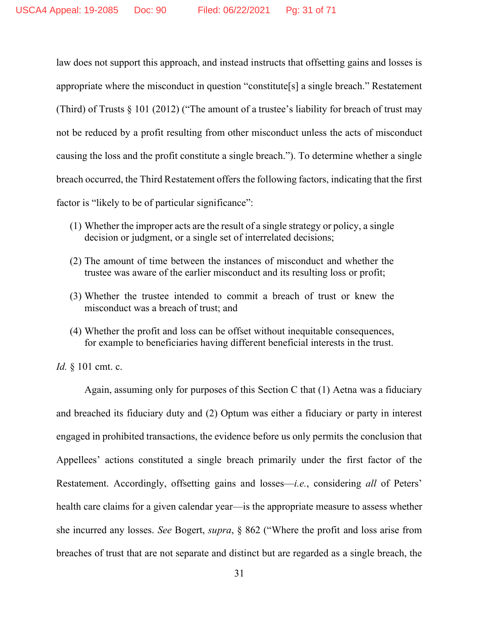law does not support this approach, and instead instructs that offsetting gains and losses is appropriate where the misconduct in question "constitute[s] a single breach." Restatement (Third) of Trusts  $\S$  101 (2012) ("The amount of a trustee's liability for breach of trust may not be reduced by a profit resulting from other misconduct unless the acts of misconduct causing the loss and the profit constitute a single breach."). To determine whether a single breach occurred, the Third Restatement offers the following factors, indicating that the first factor is "likely to be of particular significance":

- (1) Whether the improper acts are the result of a single strategy or policy, a single decision or judgment, or a single set of interrelated decisions;
- (2) The amount of time between the instances of misconduct and whether the trustee was aware of the earlier misconduct and its resulting loss or profit;
- (3) Whether the trustee intended to commit a breach of trust or knew the misconduct was a breach of trust; and
- (4) Whether the profit and loss can be offset without inequitable consequences, for example to beneficiaries having different beneficial interests in the trust.

*Id.* § 101 cmt. c.

Again, assuming only for purposes of this Section C that (1) Aetna was a fiduciary and breached its fiduciary duty and (2) Optum was either a fiduciary or party in interest engaged in prohibited transactions, the evidence before us only permits the conclusion that Appellees' actions constituted a single breach primarily under the first factor of the Restatement. Accordingly, offsetting gains and losses—*i.e.*, considering *all* of Peters' health care claims for a given calendar year—is the appropriate measure to assess whether she incurred any losses. *See* Bogert, *supra*, § 862 ("Where the profit and loss arise from breaches of trust that are not separate and distinct but are regarded as a single breach, the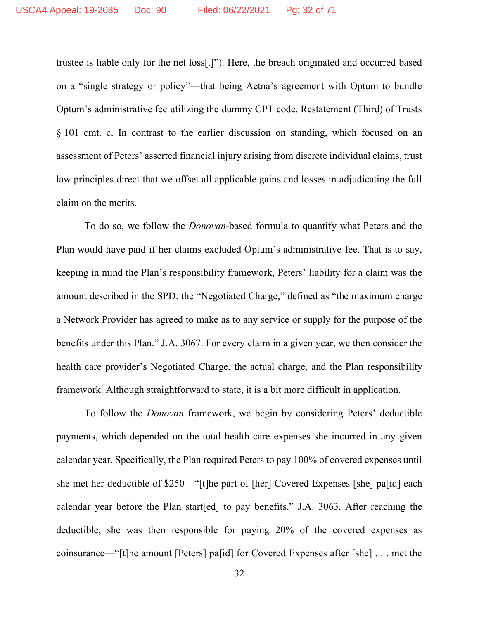trustee is liable only for the net loss[.]"). Here, the breach originated and occurred based on a "single strategy or policy"—that being Aetna's agreement with Optum to bundle Optum's administrative fee utilizing the dummy CPT code. Restatement (Third) of Trusts § 101 cmt. c. In contrast to the earlier discussion on standing, which focused on an assessment of Peters' asserted financial injury arising from discrete individual claims, trust law principles direct that we offset all applicable gains and losses in adjudicating the full claim on the merits.

To do so, we follow the *Donovan*-based formula to quantify what Peters and the Plan would have paid if her claims excluded Optum's administrative fee. That is to say, keeping in mind the Plan's responsibility framework, Peters' liability for a claim was the amount described in the SPD: the "Negotiated Charge," defined as "the maximum charge a Network Provider has agreed to make as to any service or supply for the purpose of the benefits under this Plan." J.A. 3067. For every claim in a given year, we then consider the health care provider's Negotiated Charge, the actual charge, and the Plan responsibility framework. Although straightforward to state, it is a bit more difficult in application.

To follow the *Donovan* framework, we begin by considering Peters' deductible payments, which depended on the total health care expenses she incurred in any given calendar year. Specifically, the Plan required Peters to pay 100% of covered expenses until she met her deductible of \$250—"[t]he part of [her] Covered Expenses [she] pa[id] each calendar year before the Plan start[ed] to pay benefits." J.A. 3063. After reaching the deductible, she was then responsible for paying 20% of the covered expenses as coinsurance—"[t]he amount [Peters] pa[id] for Covered Expenses after [she] . . . met the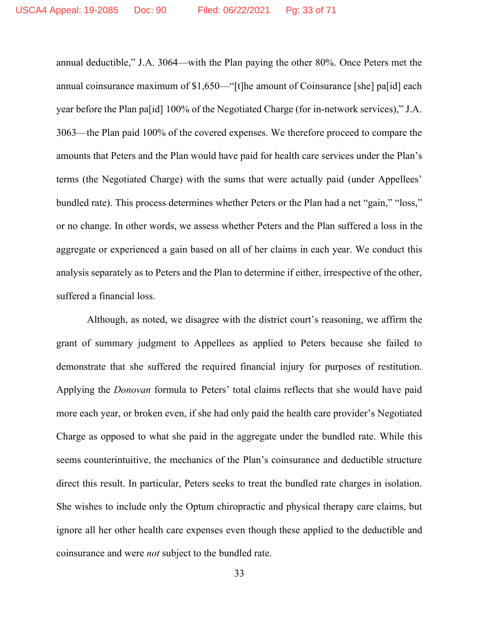annual deductible," J.A. 3064—with the Plan paying the other 80%. Once Peters met the annual coinsurance maximum of \$1,650—"[t]he amount of Coinsurance [she] pa[id] each year before the Plan pa[id] 100% of the Negotiated Charge (for in-network services)," J.A. 3063—the Plan paid 100% of the covered expenses. We therefore proceed to compare the amounts that Peters and the Plan would have paid for health care services under the Plan's terms (the Negotiated Charge) with the sums that were actually paid (under Appellees' bundled rate). This process determines whether Peters or the Plan had a net "gain," "loss," or no change. In other words, we assess whether Peters and the Plan suffered a loss in the aggregate or experienced a gain based on all of her claims in each year. We conduct this analysis separately as to Peters and the Plan to determine if either, irrespective of the other, suffered a financial loss.

Although, as noted, we disagree with the district court's reasoning, we affirm the grant of summary judgment to Appellees as applied to Peters because she failed to demonstrate that she suffered the required financial injury for purposes of restitution. Applying the *Donovan* formula to Peters' total claims reflects that she would have paid more each year, or broken even, if she had only paid the health care provider's Negotiated Charge as opposed to what she paid in the aggregate under the bundled rate. While this seems counterintuitive, the mechanics of the Plan's coinsurance and deductible structure direct this result. In particular, Peters seeks to treat the bundled rate charges in isolation. She wishes to include only the Optum chiropractic and physical therapy care claims, but ignore all her other health care expenses even though these applied to the deductible and coinsurance and were *not* subject to the bundled rate.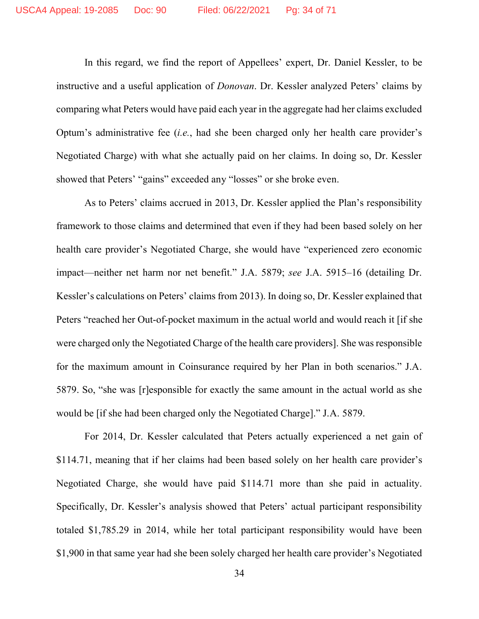In this regard, we find the report of Appellees' expert, Dr. Daniel Kessler, to be instructive and a useful application of *Donovan*. Dr. Kessler analyzed Peters' claims by comparing what Peters would have paid each year in the aggregate had her claims excluded Optum's administrative fee (*i.e.*, had she been charged only her health care provider's Negotiated Charge) with what she actually paid on her claims. In doing so, Dr. Kessler showed that Peters' "gains" exceeded any "losses" or she broke even.

As to Peters' claims accrued in 2013, Dr. Kessler applied the Plan's responsibility framework to those claims and determined that even if they had been based solely on her health care provider's Negotiated Charge, she would have "experienced zero economic impact—neither net harm nor net benefit." J.A. 5879; *see* J.A. 5915–16 (detailing Dr. Kessler's calculations on Peters' claims from 2013). In doing so, Dr. Kessler explained that Peters "reached her Out-of-pocket maximum in the actual world and would reach it [if she were charged only the Negotiated Charge of the health care providers]. She was responsible for the maximum amount in Coinsurance required by her Plan in both scenarios." J.A. 5879. So, "she was [r]esponsible for exactly the same amount in the actual world as she would be [if she had been charged only the Negotiated Charge]." J.A. 5879.

For 2014, Dr. Kessler calculated that Peters actually experienced a net gain of \$114.71, meaning that if her claims had been based solely on her health care provider's Negotiated Charge, she would have paid \$114.71 more than she paid in actuality. Specifically, Dr. Kessler's analysis showed that Peters' actual participant responsibility totaled \$1,785.29 in 2014, while her total participant responsibility would have been \$1,900 in that same year had she been solely charged her health care provider's Negotiated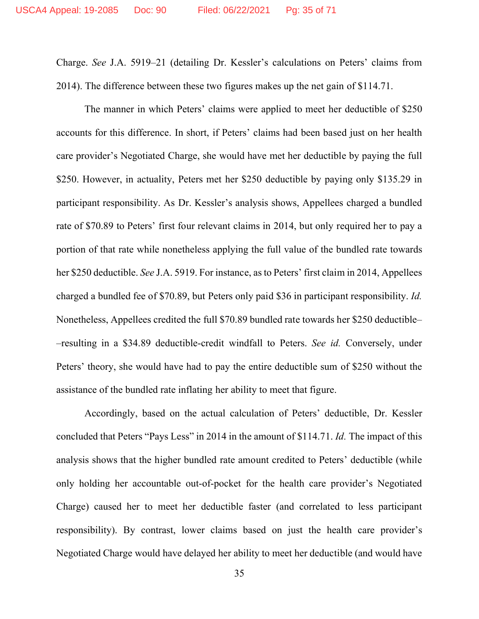Charge. *See* J.A. 5919–21 (detailing Dr. Kessler's calculations on Peters' claims from 2014). The difference between these two figures makes up the net gain of \$114.71.

The manner in which Peters' claims were applied to meet her deductible of \$250 accounts for this difference. In short, if Peters' claims had been based just on her health care provider's Negotiated Charge, she would have met her deductible by paying the full \$250. However, in actuality, Peters met her \$250 deductible by paying only \$135.29 in participant responsibility. As Dr. Kessler's analysis shows, Appellees charged a bundled rate of \$70.89 to Peters' first four relevant claims in 2014, but only required her to pay a portion of that rate while nonetheless applying the full value of the bundled rate towards her \$250 deductible. *See* J.A. 5919. For instance, as to Peters' first claim in 2014, Appellees charged a bundled fee of \$70.89, but Peters only paid \$36 in participant responsibility. *Id.* Nonetheless, Appellees credited the full \$70.89 bundled rate towards her \$250 deductible– –resulting in a \$34.89 deductible-credit windfall to Peters. *See id.* Conversely, under Peters' theory, she would have had to pay the entire deductible sum of \$250 without the assistance of the bundled rate inflating her ability to meet that figure.

Accordingly, based on the actual calculation of Peters' deductible, Dr. Kessler concluded that Peters "Pays Less" in 2014 in the amount of \$114.71. *Id.* The impact of this analysis shows that the higher bundled rate amount credited to Peters' deductible (while only holding her accountable out-of-pocket for the health care provider's Negotiated Charge) caused her to meet her deductible faster (and correlated to less participant responsibility). By contrast, lower claims based on just the health care provider's Negotiated Charge would have delayed her ability to meet her deductible (and would have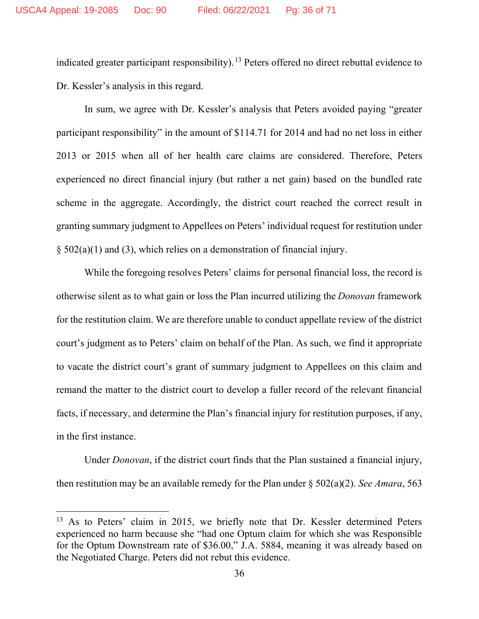indicated greater participant responsibility).<sup>13</sup> Peters offered no direct rebuttal evidence to Dr. Kessler's analysis in this regard.

In sum, we agree with Dr. Kessler's analysis that Peters avoided paying "greater participant responsibility" in the amount of \$114.71 for 2014 and had no net loss in either 2013 or 2015 when all of her health care claims are considered. Therefore, Peters experienced no direct financial injury (but rather a net gain) based on the bundled rate scheme in the aggregate. Accordingly, the district court reached the correct result in granting summary judgment to Appellees on Peters' individual request for restitution under  $\S$  502(a)(1) and (3), which relies on a demonstration of financial injury.

While the foregoing resolves Peters' claims for personal financial loss, the record is otherwise silent as to what gain or loss the Plan incurred utilizing the *Donovan* framework for the restitution claim. We are therefore unable to conduct appellate review of the district court's judgment as to Peters' claim on behalf of the Plan. As such, we find it appropriate to vacate the district court's grant of summary judgment to Appellees on this claim and remand the matter to the district court to develop a fuller record of the relevant financial facts, if necessary, and determine the Plan's financial injury for restitution purposes, if any, in the first instance.

Under *Donovan*, if the district court finds that the Plan sustained a financial injury, then restitution may be an available remedy for the Plan under § 502(a)(2). *See Amara*, 563

<sup>&</sup>lt;sup>13</sup> As to Peters' claim in 2015, we briefly note that Dr. Kessler determined Peters experienced no harm because she "had one Optum claim for which she was Responsible for the Optum Downstream rate of \$36.00," J.A. 5884, meaning it was already based on the Negotiated Charge. Peters did not rebut this evidence.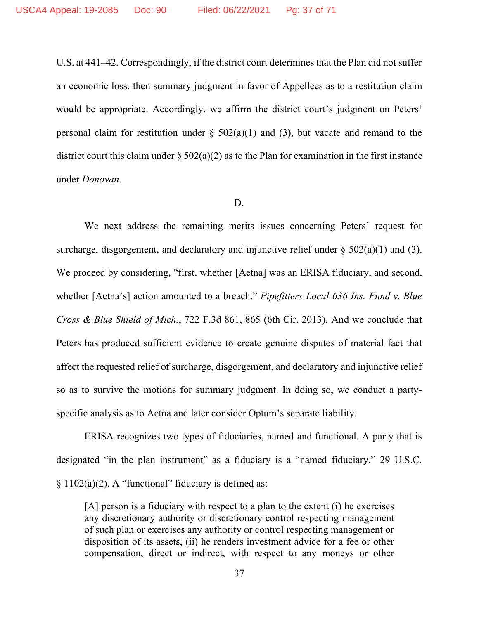U.S. at 441–42. Correspondingly, if the district court determines that the Plan did not suffer an economic loss, then summary judgment in favor of Appellees as to a restitution claim would be appropriate. Accordingly, we affirm the district court's judgment on Peters' personal claim for restitution under  $\S$  502(a)(1) and (3), but vacate and remand to the district court this claim under  $\S 502(a)(2)$  as to the Plan for examination in the first instance under *Donovan*.

#### D.

We next address the remaining merits issues concerning Peters' request for surcharge, disgorgement, and declaratory and injunctive relief under  $\S$  502(a)(1) and (3). We proceed by considering, "first, whether [Aetna] was an ERISA fiduciary, and second, whether [Aetna's] action amounted to a breach." *Pipefitters Local 636 Ins. Fund v. Blue Cross & Blue Shield of Mich.*, 722 F.3d 861, 865 (6th Cir. 2013). And we conclude that Peters has produced sufficient evidence to create genuine disputes of material fact that affect the requested relief of surcharge, disgorgement, and declaratory and injunctive relief so as to survive the motions for summary judgment. In doing so, we conduct a partyspecific analysis as to Aetna and later consider Optum's separate liability.

ERISA recognizes two types of fiduciaries, named and functional. A party that is designated "in the plan instrument" as a fiduciary is a "named fiduciary." 29 U.S.C.  $§ 1102(a)(2)$ . A "functional" fiduciary is defined as:

[A] person is a fiduciary with respect to a plan to the extent (i) he exercises any discretionary authority or discretionary control respecting management of such plan or exercises any authority or control respecting management or disposition of its assets, (ii) he renders investment advice for a fee or other compensation, direct or indirect, with respect to any moneys or other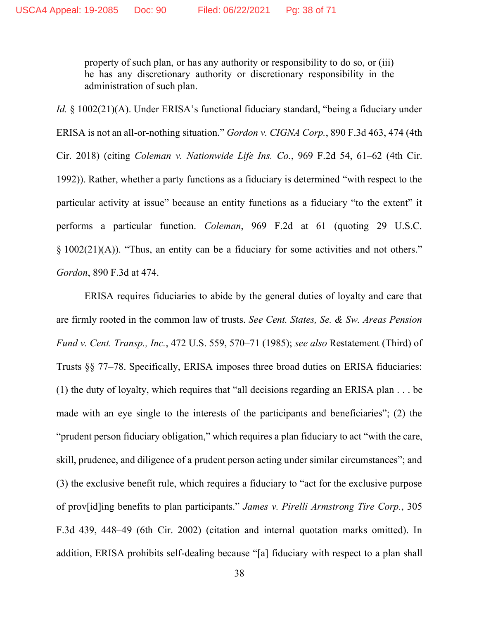property of such plan, or has any authority or responsibility to do so, or (iii) he has any discretionary authority or discretionary responsibility in the administration of such plan.

*Id.* § 1002(21)(A). Under ERISA's functional fiduciary standard, "being a fiduciary under ERISA is not an all-or-nothing situation." *Gordon v. CIGNA Corp.*, 890 F.3d 463, 474 (4th Cir. 2018) (citing *Coleman v. Nationwide Life Ins. Co.*, 969 F.2d 54, 61–62 (4th Cir. 1992)). Rather, whether a party functions as a fiduciary is determined "with respect to the particular activity at issue" because an entity functions as a fiduciary "to the extent" it performs a particular function. *Coleman*, 969 F.2d at 61 (quoting 29 U.S.C. § 1002(21)(A)). "Thus, an entity can be a fiduciary for some activities and not others." *Gordon*, 890 F.3d at 474.

ERISA requires fiduciaries to abide by the general duties of loyalty and care that are firmly rooted in the common law of trusts. *See Cent. States, Se. & Sw. Areas Pension Fund v. Cent. Transp., Inc.*, 472 U.S. 559, 570–71 (1985); *see also* Restatement (Third) of Trusts §§ 77–78. Specifically, ERISA imposes three broad duties on ERISA fiduciaries: (1) the duty of loyalty, which requires that "all decisions regarding an ERISA plan . . . be made with an eye single to the interests of the participants and beneficiaries"; (2) the "prudent person fiduciary obligation," which requires a plan fiduciary to act "with the care, skill, prudence, and diligence of a prudent person acting under similar circumstances"; and (3) the exclusive benefit rule, which requires a fiduciary to "act for the exclusive purpose of prov[id]ing benefits to plan participants." *James v. Pirelli Armstrong Tire Corp.*, 305 F.3d 439, 448–49 (6th Cir. 2002) (citation and internal quotation marks omitted). In addition, ERISA prohibits self-dealing because "[a] fiduciary with respect to a plan shall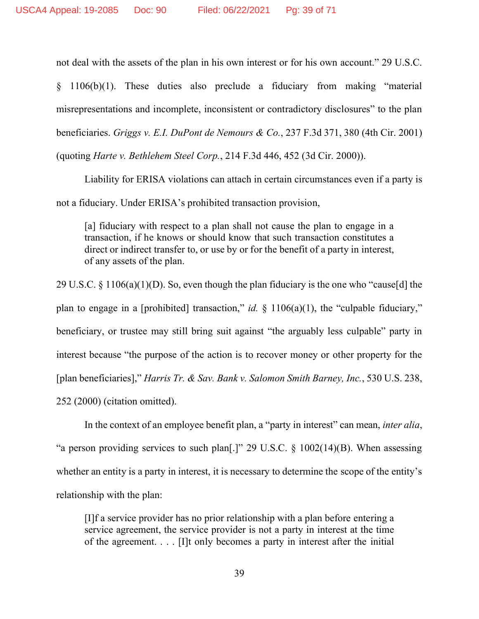not deal with the assets of the plan in his own interest or for his own account." 29 U.S.C.

§ 1106(b)(1). These duties also preclude a fiduciary from making "material misrepresentations and incomplete, inconsistent or contradictory disclosures" to the plan beneficiaries. *Griggs v. E.I. DuPont de Nemours & Co.*, 237 F.3d 371, 380 (4th Cir. 2001) (quoting *Harte v. Bethlehem Steel Corp.*, 214 F.3d 446, 452 (3d Cir. 2000)).

Liability for ERISA violations can attach in certain circumstances even if a party is not a fiduciary. Under ERISA's prohibited transaction provision,

[a] fiduciary with respect to a plan shall not cause the plan to engage in a transaction, if he knows or should know that such transaction constitutes a direct or indirect transfer to, or use by or for the benefit of a party in interest, of any assets of the plan.

29 U.S.C. § 1106(a)(1)(D). So, even though the plan fiduciary is the one who "cause[d] the plan to engage in a [prohibited] transaction," *id.*  $\S$  1106(a)(1), the "culpable fiduciary," beneficiary, or trustee may still bring suit against "the arguably less culpable" party in interest because "the purpose of the action is to recover money or other property for the [plan beneficiaries]," *Harris Tr. & Sav. Bank v. Salomon Smith Barney, Inc.*, 530 U.S. 238, 252 (2000) (citation omitted).

In the context of an employee benefit plan, a "party in interest" can mean, *inter alia*, "a person providing services to such plan[.]" 29 U.S.C.  $\S$  1002(14)(B). When assessing whether an entity is a party in interest, it is necessary to determine the scope of the entity's relationship with the plan:

[I]f a service provider has no prior relationship with a plan before entering a service agreement, the service provider is not a party in interest at the time of the agreement. . . . [I]t only becomes a party in interest after the initial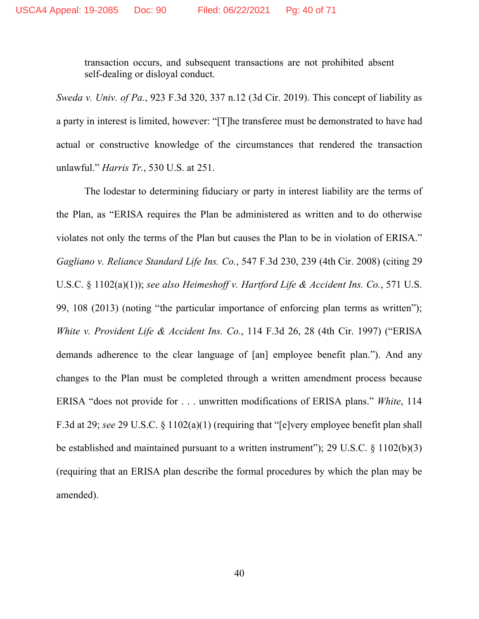transaction occurs, and subsequent transactions are not prohibited absent self-dealing or disloyal conduct.

*Sweda v. Univ. of Pa.*, 923 F.3d 320, 337 n.12 (3d Cir. 2019). This concept of liability as a party in interest is limited, however: "[T]he transferee must be demonstrated to have had actual or constructive knowledge of the circumstances that rendered the transaction unlawful." *Harris Tr.*, 530 U.S. at 251.

The lodestar to determining fiduciary or party in interest liability are the terms of the Plan, as "ERISA requires the Plan be administered as written and to do otherwise violates not only the terms of the Plan but causes the Plan to be in violation of ERISA." *Gagliano v. Reliance Standard Life Ins. Co.*, 547 F.3d 230, 239 (4th Cir. 2008) (citing 29 U.S.C. § 1102(a)(1)); *see also Heimeshoff v. Hartford Life & Accident Ins. Co.*, 571 U.S. 99, 108 (2013) (noting "the particular importance of enforcing plan terms as written"); *White v. Provident Life & Accident Ins. Co.*, 114 F.3d 26, 28 (4th Cir. 1997) ("ERISA demands adherence to the clear language of [an] employee benefit plan."). And any changes to the Plan must be completed through a written amendment process because ERISA "does not provide for . . . unwritten modifications of ERISA plans." *White*, 114 F.3d at 29; *see* 29 U.S.C. § 1102(a)(1) (requiring that "[e]very employee benefit plan shall be established and maintained pursuant to a written instrument"); 29 U.S.C. § 1102(b)(3) (requiring that an ERISA plan describe the formal procedures by which the plan may be amended).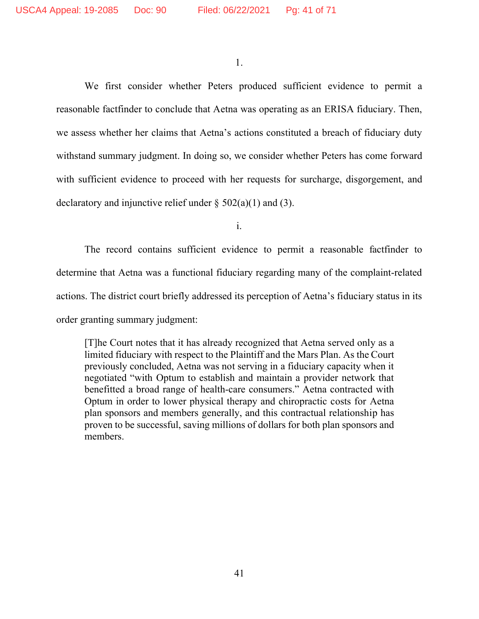1.

We first consider whether Peters produced sufficient evidence to permit a reasonable factfinder to conclude that Aetna was operating as an ERISA fiduciary. Then, we assess whether her claims that Aetna's actions constituted a breach of fiduciary duty withstand summary judgment. In doing so, we consider whether Peters has come forward with sufficient evidence to proceed with her requests for surcharge, disgorgement, and declaratory and injunctive relief under  $\S$  502(a)(1) and (3).

i.

The record contains sufficient evidence to permit a reasonable factfinder to determine that Aetna was a functional fiduciary regarding many of the complaint-related actions. The district court briefly addressed its perception of Aetna's fiduciary status in its order granting summary judgment:

[T]he Court notes that it has already recognized that Aetna served only as a limited fiduciary with respect to the Plaintiff and the Mars Plan. As the Court previously concluded, Aetna was not serving in a fiduciary capacity when it negotiated "with Optum to establish and maintain a provider network that benefitted a broad range of health-care consumers." Aetna contracted with Optum in order to lower physical therapy and chiropractic costs for Aetna plan sponsors and members generally, and this contractual relationship has proven to be successful, saving millions of dollars for both plan sponsors and members.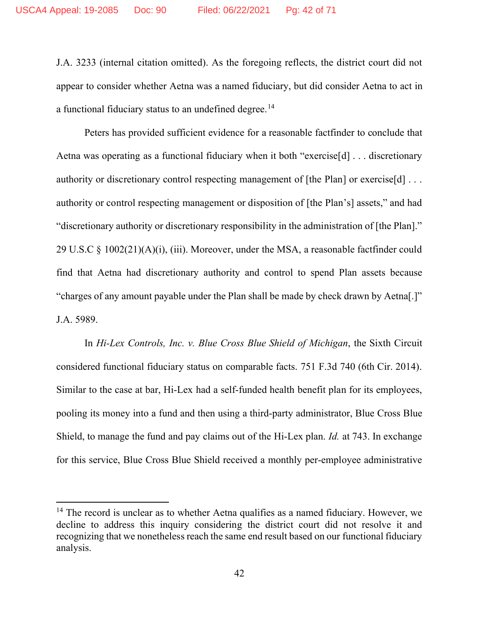J.A. 3233 (internal citation omitted). As the foregoing reflects, the district court did not appear to consider whether Aetna was a named fiduciary, but did consider Aetna to act in a functional fiduciary status to an undefined degree.<sup>14</sup>

Peters has provided sufficient evidence for a reasonable factfinder to conclude that Aetna was operating as a functional fiduciary when it both "exercise[d] . . . discretionary authority or discretionary control respecting management of [the Plan] or exercise[d] ... authority or control respecting management or disposition of [the Plan's] assets," and had "discretionary authority or discretionary responsibility in the administration of [the Plan]." 29 U.S.C § 1002(21)(A)(i), (iii). Moreover, under the MSA, a reasonable factfinder could find that Aetna had discretionary authority and control to spend Plan assets because "charges of any amount payable under the Plan shall be made by check drawn by Aetna[.]" J.A. 5989.

In *Hi-Lex Controls, Inc. v. Blue Cross Blue Shield of Michigan*, the Sixth Circuit considered functional fiduciary status on comparable facts. 751 F.3d 740 (6th Cir. 2014). Similar to the case at bar, Hi-Lex had a self-funded health benefit plan for its employees, pooling its money into a fund and then using a third-party administrator, Blue Cross Blue Shield, to manage the fund and pay claims out of the Hi-Lex plan. *Id.* at 743. In exchange for this service, Blue Cross Blue Shield received a monthly per-employee administrative

<sup>&</sup>lt;sup>14</sup> The record is unclear as to whether Aetna qualifies as a named fiduciary. However, we decline to address this inquiry considering the district court did not resolve it and recognizing that we nonetheless reach the same end result based on our functional fiduciary analysis.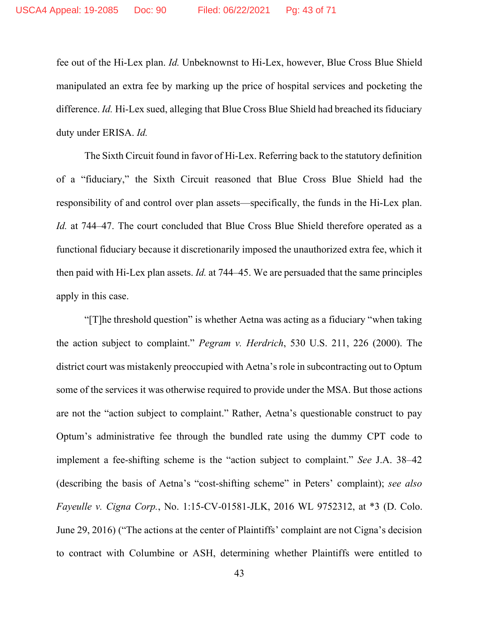fee out of the Hi-Lex plan. *Id.* Unbeknownst to Hi-Lex, however, Blue Cross Blue Shield manipulated an extra fee by marking up the price of hospital services and pocketing the difference. *Id.* Hi-Lex sued, alleging that Blue Cross Blue Shield had breached its fiduciary duty under ERISA. *Id.*

The Sixth Circuit found in favor of Hi-Lex. Referring back to the statutory definition of a "fiduciary," the Sixth Circuit reasoned that Blue Cross Blue Shield had the responsibility of and control over plan assets—specifically, the funds in the Hi-Lex plan. *Id.* at 744–47. The court concluded that Blue Cross Blue Shield therefore operated as a functional fiduciary because it discretionarily imposed the unauthorized extra fee, which it then paid with Hi-Lex plan assets. *Id.* at 744–45. We are persuaded that the same principles apply in this case.

"[T]he threshold question" is whether Aetna was acting as a fiduciary "when taking the action subject to complaint." *Pegram v. Herdrich*, 530 U.S. 211, 226 (2000). The district court was mistakenly preoccupied with Aetna's role in subcontracting out to Optum some of the services it was otherwise required to provide under the MSA. But those actions are not the "action subject to complaint." Rather, Aetna's questionable construct to pay Optum's administrative fee through the bundled rate using the dummy CPT code to implement a fee-shifting scheme is the "action subject to complaint." *See* J.A. 38–42 (describing the basis of Aetna's "cost-shifting scheme" in Peters' complaint); *see also Fayeulle v. Cigna Corp.*, No. 1:15-CV-01581-JLK, 2016 WL 9752312, at \*3 (D. Colo. June 29, 2016) ("The actions at the center of Plaintiffs' complaint are not Cigna's decision to contract with Columbine or ASH, determining whether Plaintiffs were entitled to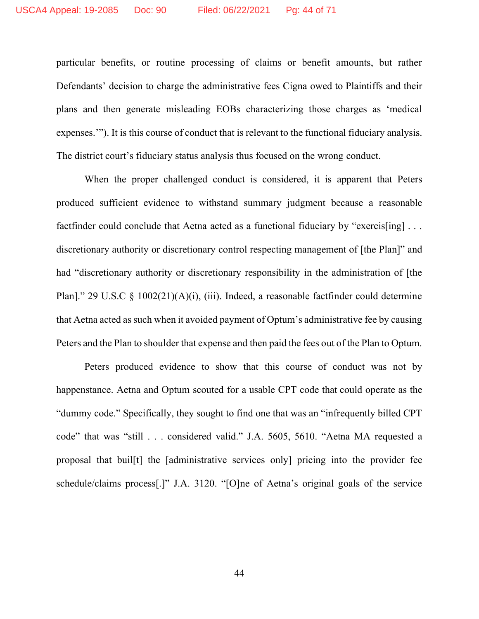particular benefits, or routine processing of claims or benefit amounts, but rather Defendants' decision to charge the administrative fees Cigna owed to Plaintiffs and their plans and then generate misleading EOBs characterizing those charges as 'medical expenses.'"). It is this course of conduct that is relevant to the functional fiduciary analysis. The district court's fiduciary status analysis thus focused on the wrong conduct.

When the proper challenged conduct is considered, it is apparent that Peters produced sufficient evidence to withstand summary judgment because a reasonable factfinder could conclude that Aetna acted as a functional fiduciary by "exercis[ing] ... discretionary authority or discretionary control respecting management of [the Plan]" and had "discretionary authority or discretionary responsibility in the administration of [the Plan]." 29 U.S.C § 1002(21)(A)(i), (iii). Indeed, a reasonable factfinder could determine that Aetna acted as such when it avoided payment of Optum's administrative fee by causing Peters and the Plan to shoulder that expense and then paid the fees out of the Plan to Optum.

Peters produced evidence to show that this course of conduct was not by happenstance. Aetna and Optum scouted for a usable CPT code that could operate as the "dummy code." Specifically, they sought to find one that was an "infrequently billed CPT code" that was "still . . . considered valid." J.A. 5605, 5610. "Aetna MA requested a proposal that buil[t] the [administrative services only] pricing into the provider fee schedule/claims process[.]" J.A. 3120. "[O]ne of Aetna's original goals of the service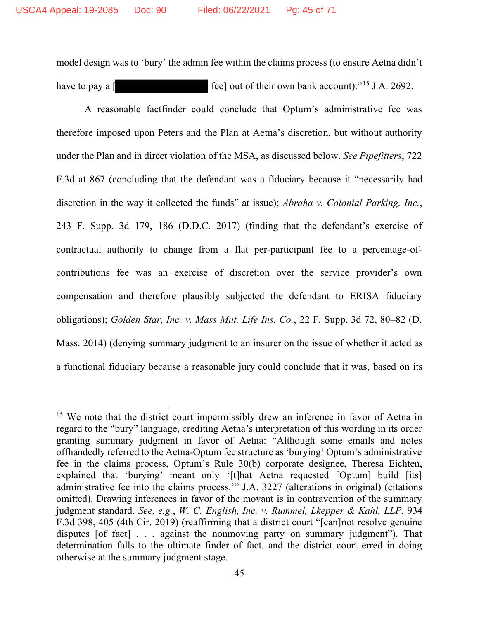model design was to 'bury' the admin fee within the claims process (to ensure Aetna didn't have to pay a  $\lceil \frac{1}{2} \rceil$  fee] out of their own bank account).<sup>"15</sup> J.A. 2692.

A reasonable factfinder could conclude that Optum's administrative fee was therefore imposed upon Peters and the Plan at Aetna's discretion, but without authority under the Plan and in direct violation of the MSA, as discussed below. *See Pipefitters*, 722 F.3d at 867 (concluding that the defendant was a fiduciary because it "necessarily had discretion in the way it collected the funds" at issue); *Abraha v. Colonial Parking, Inc.*, 243 F. Supp. 3d 179, 186 (D.D.C. 2017) (finding that the defendant's exercise of contractual authority to change from a flat per-participant fee to a percentage-ofcontributions fee was an exercise of discretion over the service provider's own compensation and therefore plausibly subjected the defendant to ERISA fiduciary obligations); *Golden Star, Inc. v. Mass Mut. Life Ins. Co.*, 22 F. Supp. 3d 72, 80–82 (D. Mass. 2014) (denying summary judgment to an insurer on the issue of whether it acted as a functional fiduciary because a reasonable jury could conclude that it was, based on its

<sup>&</sup>lt;sup>15</sup> We note that the district court impermissibly drew an inference in favor of Aetna in regard to the "bury" language, crediting Aetna's interpretation of this wording in its order granting summary judgment in favor of Aetna: "Although some emails and notes offhandedly referred to the Aetna-Optum fee structure as 'burying' Optum's administrative fee in the claims process, Optum's Rule 30(b) corporate designee, Theresa Eichten, explained that 'burying' meant only '[t]hat Aetna requested [Optum] build [its] administrative fee into the claims process.'" J.A. 3227 (alterations in original) (citations omitted). Drawing inferences in favor of the movant is in contravention of the summary judgment standard. *See, e.g.*, *W. C. English, Inc. v. Rummel, Lkepper & Kahl, LLP*, 934 F.3d 398, 405 (4th Cir. 2019) (reaffirming that a district court "[can]not resolve genuine disputes [of fact] . . . against the nonmoving party on summary judgment"). That determination falls to the ultimate finder of fact, and the district court erred in doing otherwise at the summary judgment stage.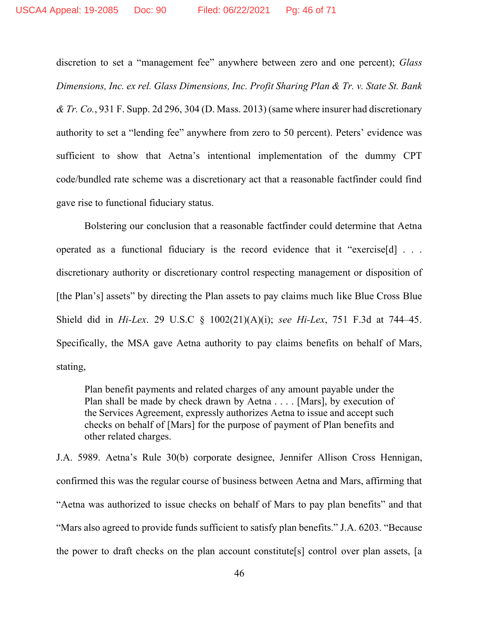discretion to set a "management fee" anywhere between zero and one percent); *Glass Dimensions, Inc. ex rel. Glass Dimensions, Inc. Profit Sharing Plan & Tr. v. State St. Bank & Tr. Co.*, 931 F. Supp. 2d 296, 304 (D. Mass. 2013) (same where insurer had discretionary authority to set a "lending fee" anywhere from zero to 50 percent). Peters' evidence was sufficient to show that Aetna's intentional implementation of the dummy CPT code/bundled rate scheme was a discretionary act that a reasonable factfinder could find gave rise to functional fiduciary status.

Bolstering our conclusion that a reasonable factfinder could determine that Aetna operated as a functional fiduciary is the record evidence that it "exercise[d] . . . discretionary authority or discretionary control respecting management or disposition of [the Plan's] assets" by directing the Plan assets to pay claims much like Blue Cross Blue Shield did in *Hi-Lex*. 29 U.S.C § 1002(21)(A)(i); *see Hi-Lex*, 751 F.3d at 744–45. Specifically, the MSA gave Aetna authority to pay claims benefits on behalf of Mars, stating,

Plan benefit payments and related charges of any amount payable under the Plan shall be made by check drawn by Aetna . . . . [Mars], by execution of the Services Agreement, expressly authorizes Aetna to issue and accept such checks on behalf of [Mars] for the purpose of payment of Plan benefits and other related charges.

J.A. 5989. Aetna's Rule 30(b) corporate designee, Jennifer Allison Cross Hennigan, confirmed this was the regular course of business between Aetna and Mars, affirming that "Aetna was authorized to issue checks on behalf of Mars to pay plan benefits" and that "Mars also agreed to provide funds sufficient to satisfy plan benefits." J.A. 6203. "Because the power to draft checks on the plan account constitute[s] control over plan assets, [a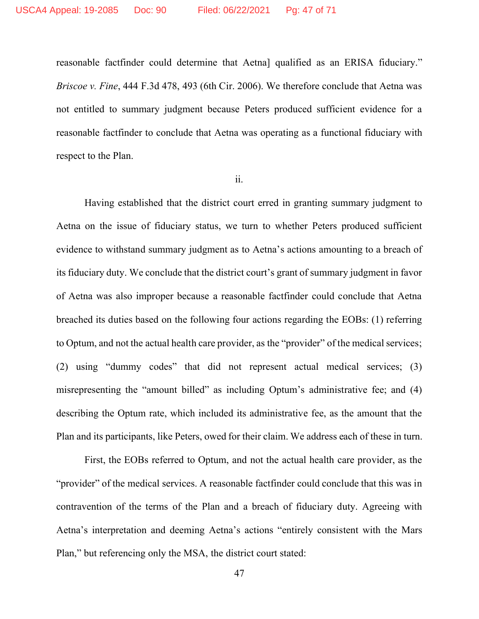reasonable factfinder could determine that Aetna] qualified as an ERISA fiduciary." *Briscoe v. Fine*, 444 F.3d 478, 493 (6th Cir. 2006). We therefore conclude that Aetna was not entitled to summary judgment because Peters produced sufficient evidence for a reasonable factfinder to conclude that Aetna was operating as a functional fiduciary with respect to the Plan.

#### ii.

Having established that the district court erred in granting summary judgment to Aetna on the issue of fiduciary status, we turn to whether Peters produced sufficient evidence to withstand summary judgment as to Aetna's actions amounting to a breach of its fiduciary duty. We conclude that the district court's grant of summary judgment in favor of Aetna was also improper because a reasonable factfinder could conclude that Aetna breached its duties based on the following four actions regarding the EOBs: (1) referring to Optum, and not the actual health care provider, as the "provider" of the medical services; (2) using "dummy codes" that did not represent actual medical services; (3) misrepresenting the "amount billed" as including Optum's administrative fee; and (4) describing the Optum rate, which included its administrative fee, as the amount that the Plan and its participants, like Peters, owed for their claim. We address each of these in turn.

First, the EOBs referred to Optum, and not the actual health care provider, as the "provider" of the medical services. A reasonable factfinder could conclude that this was in contravention of the terms of the Plan and a breach of fiduciary duty. Agreeing with Aetna's interpretation and deeming Aetna's actions "entirely consistent with the Mars Plan," but referencing only the MSA, the district court stated: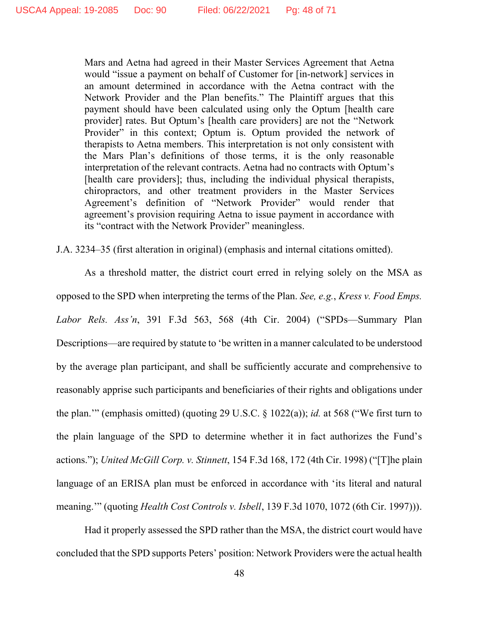Mars and Aetna had agreed in their Master Services Agreement that Aetna would "issue a payment on behalf of Customer for [in-network] services in an amount determined in accordance with the Aetna contract with the Network Provider and the Plan benefits." The Plaintiff argues that this payment should have been calculated using only the Optum [health care provider] rates. But Optum's [health care providers] are not the "Network Provider" in this context; Optum is. Optum provided the network of therapists to Aetna members. This interpretation is not only consistent with the Mars Plan's definitions of those terms, it is the only reasonable interpretation of the relevant contracts. Aetna had no contracts with Optum's [health care providers]; thus, including the individual physical therapists, chiropractors, and other treatment providers in the Master Services Agreement's definition of "Network Provider" would render that agreement's provision requiring Aetna to issue payment in accordance with its "contract with the Network Provider" meaningless.

J.A. 3234–35 (first alteration in original) (emphasis and internal citations omitted).

As a threshold matter, the district court erred in relying solely on the MSA as opposed to the SPD when interpreting the terms of the Plan. *See, e.g.*, *Kress v. Food Emps. Labor Rels. Ass'n*, 391 F.3d 563, 568 (4th Cir. 2004) ("SPDs—Summary Plan Descriptions—are required by statute to 'be written in a manner calculated to be understood by the average plan participant, and shall be sufficiently accurate and comprehensive to reasonably apprise such participants and beneficiaries of their rights and obligations under the plan.'" (emphasis omitted) (quoting 29 U.S.C. § 1022(a)); *id.* at 568 ("We first turn to the plain language of the SPD to determine whether it in fact authorizes the Fund's actions."); *United McGill Corp. v. Stinnett*, 154 F.3d 168, 172 (4th Cir. 1998) ("[T]he plain language of an ERISA plan must be enforced in accordance with 'its literal and natural meaning.'" (quoting *Health Cost Controls v. Isbell*, 139 F.3d 1070, 1072 (6th Cir. 1997))).

Had it properly assessed the SPD rather than the MSA, the district court would have concluded that the SPD supports Peters' position: Network Providers were the actual health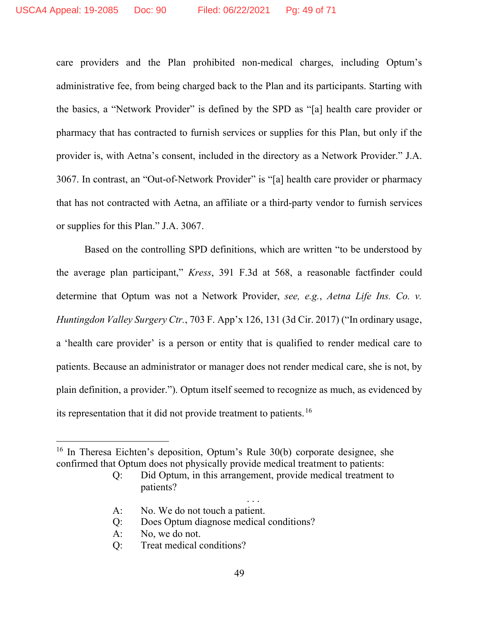care providers and the Plan prohibited non-medical charges, including Optum's administrative fee, from being charged back to the Plan and its participants. Starting with the basics, a "Network Provider" is defined by the SPD as "[a] health care provider or pharmacy that has contracted to furnish services or supplies for this Plan, but only if the provider is, with Aetna's consent, included in the directory as a Network Provider." J.A. 3067. In contrast, an "Out-of-Network Provider" is "[a] health care provider or pharmacy that has not contracted with Aetna, an affiliate or a third-party vendor to furnish services or supplies for this Plan." J.A. 3067.

Based on the controlling SPD definitions, which are written "to be understood by the average plan participant," *Kress*, 391 F.3d at 568, a reasonable factfinder could determine that Optum was not a Network Provider, *see, e.g.*, *Aetna Life Ins. Co. v. Huntingdon Valley Surgery Ctr.*, 703 F. App'x 126, 131 (3d Cir. 2017) ("In ordinary usage, a 'health care provider' is a person or entity that is qualified to render medical care to patients. Because an administrator or manager does not render medical care, she is not, by plain definition, a provider."). Optum itself seemed to recognize as much, as evidenced by its representation that it did not provide treatment to patients.<sup>16</sup>

. . .

- A: No. We do not touch a patient.
- Q: Does Optum diagnose medical conditions?
- A: No, we do not.
- Q: Treat medical conditions?

<sup>&</sup>lt;sup>16</sup> In Theresa Eichten's deposition, Optum's Rule 30(b) corporate designee, she confirmed that Optum does not physically provide medical treatment to patients:

Q: Did Optum, in this arrangement, provide medical treatment to patients?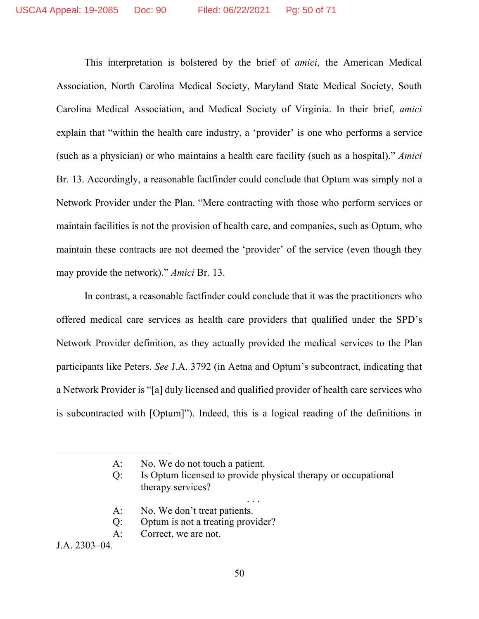This interpretation is bolstered by the brief of *amici*, the American Medical Association, North Carolina Medical Society, Maryland State Medical Society, South Carolina Medical Association, and Medical Society of Virginia. In their brief, *amici* explain that "within the health care industry, a 'provider' is one who performs a service (such as a physician) or who maintains a health care facility (such as a hospital)." *Amici* Br. 13. Accordingly, a reasonable factfinder could conclude that Optum was simply not a Network Provider under the Plan. "Mere contracting with those who perform services or maintain facilities is not the provision of health care, and companies, such as Optum, who maintain these contracts are not deemed the 'provider' of the service (even though they may provide the network)." *Amici* Br. 13.

In contrast, a reasonable factfinder could conclude that it was the practitioners who offered medical care services as health care providers that qualified under the SPD's Network Provider definition, as they actually provided the medical services to the Plan participants like Peters. *See* J.A. 3792 (in Aetna and Optum's subcontract, indicating that a Network Provider is "[a] duly licensed and qualified provider of health care services who is subcontracted with [Optum]"). Indeed, this is a logical reading of the definitions in

. . .

- A: No. We don't treat patients.
- Q: Optum is not a treating provider?
- A: Correct, we are not.

J.A. 2303–04.

A: No. We do not touch a patient.

Q: Is Optum licensed to provide physical therapy or occupational therapy services?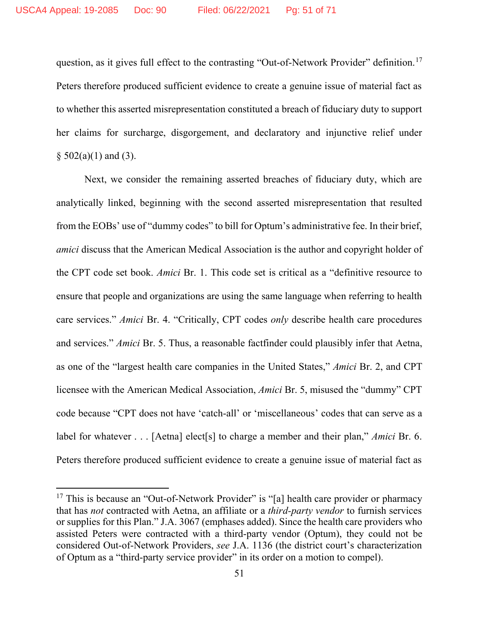question, as it gives full effect to the contrasting "Out-of-Network Provider" definition.<sup>17</sup> Peters therefore produced sufficient evidence to create a genuine issue of material fact as to whether this asserted misrepresentation constituted a breach of fiduciary duty to support her claims for surcharge, disgorgement, and declaratory and injunctive relief under  $§ 502(a)(1)$  and (3).

Next, we consider the remaining asserted breaches of fiduciary duty, which are analytically linked, beginning with the second asserted misrepresentation that resulted from the EOBs' use of "dummy codes" to bill for Optum's administrative fee. In their brief, *amici* discuss that the American Medical Association is the author and copyright holder of the CPT code set book. *Amici* Br. 1. This code set is critical as a "definitive resource to ensure that people and organizations are using the same language when referring to health care services." *Amici* Br. 4. "Critically, CPT codes *only* describe health care procedures and services." *Amici* Br. 5. Thus, a reasonable factfinder could plausibly infer that Aetna, as one of the "largest health care companies in the United States," *Amici* Br. 2, and CPT licensee with the American Medical Association, *Amici* Br. 5, misused the "dummy" CPT code because "CPT does not have 'catch-all' or 'miscellaneous' codes that can serve as a label for whatever . . . [Aetna] elect[s] to charge a member and their plan," *Amici* Br. 6. Peters therefore produced sufficient evidence to create a genuine issue of material fact as

<sup>&</sup>lt;sup>17</sup> This is because an "Out-of-Network Provider" is "[a] health care provider or pharmacy that has *not* contracted with Aetna, an affiliate or a *third-party vendor* to furnish services or supplies for this Plan." J.A. 3067 (emphases added). Since the health care providers who assisted Peters were contracted with a third-party vendor (Optum), they could not be considered Out-of-Network Providers, *see* J.A. 1136 (the district court's characterization of Optum as a "third-party service provider" in its order on a motion to compel).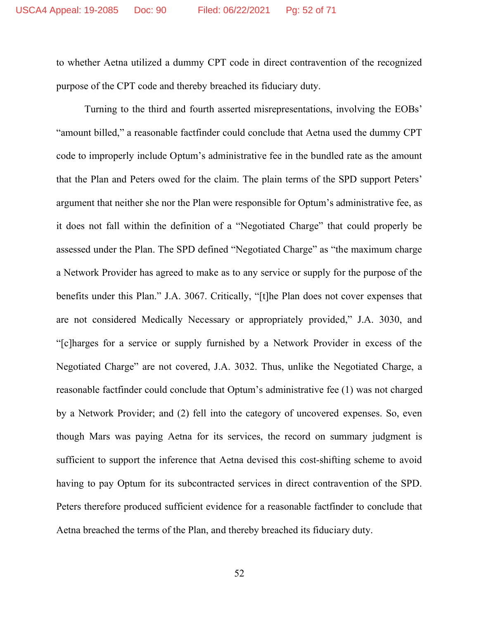to whether Aetna utilized a dummy CPT code in direct contravention of the recognized purpose of the CPT code and thereby breached its fiduciary duty.

Turning to the third and fourth asserted misrepresentations, involving the EOBs' "amount billed," a reasonable factfinder could conclude that Aetna used the dummy CPT code to improperly include Optum's administrative fee in the bundled rate as the amount that the Plan and Peters owed for the claim. The plain terms of the SPD support Peters' argument that neither she nor the Plan were responsible for Optum's administrative fee, as it does not fall within the definition of a "Negotiated Charge" that could properly be assessed under the Plan. The SPD defined "Negotiated Charge" as "the maximum charge a Network Provider has agreed to make as to any service or supply for the purpose of the benefits under this Plan." J.A. 3067. Critically, "[t]he Plan does not cover expenses that are not considered Medically Necessary or appropriately provided," J.A. 3030, and "[c]harges for a service or supply furnished by a Network Provider in excess of the Negotiated Charge" are not covered, J.A. 3032. Thus, unlike the Negotiated Charge, a reasonable factfinder could conclude that Optum's administrative fee (1) was not charged by a Network Provider; and (2) fell into the category of uncovered expenses. So, even though Mars was paying Aetna for its services, the record on summary judgment is sufficient to support the inference that Aetna devised this cost-shifting scheme to avoid having to pay Optum for its subcontracted services in direct contravention of the SPD. Peters therefore produced sufficient evidence for a reasonable factfinder to conclude that Aetna breached the terms of the Plan, and thereby breached its fiduciary duty.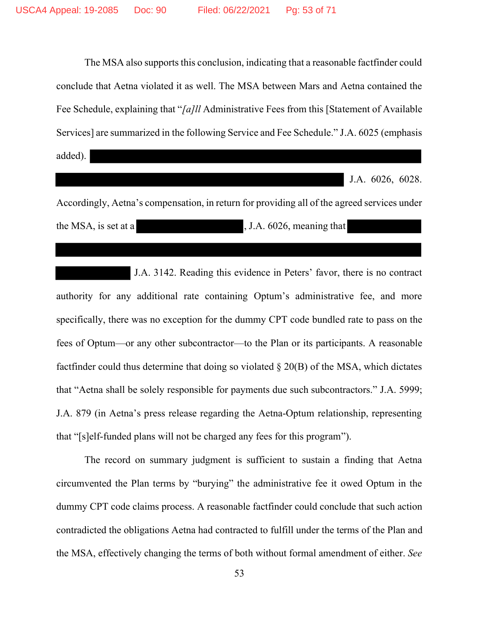The MSA also supports this conclusion, indicating that a reasonable factfinder could conclude that Aetna violated it as well. The MSA between Mars and Aetna contained the Fee Schedule, explaining that "*[a]ll* Administrative Fees from this [Statement of Available Services] are summarized in the following Service and Fee Schedule." J.A. 6025 (emphasis added).

J.A. 6026, 6028.

Accordingly, Aetna's compensation, in return for providing all of the agreed services under the MSA, is set at a , J.A. 6026, meaning that

 J.A. 3142. Reading this evidence in Peters' favor, there is no contract authority for any additional rate containing Optum's administrative fee, and more specifically, there was no exception for the dummy CPT code bundled rate to pass on the fees of Optum—or any other subcontractor—to the Plan or its participants. A reasonable factfinder could thus determine that doing so violated  $\S 20(B)$  of the MSA, which dictates that "Aetna shall be solely responsible for payments due such subcontractors." J.A. 5999; J.A. 879 (in Aetna's press release regarding the Aetna-Optum relationship, representing that "[s]elf-funded plans will not be charged any fees for this program").

The record on summary judgment is sufficient to sustain a finding that Aetna circumvented the Plan terms by "burying" the administrative fee it owed Optum in the dummy CPT code claims process. A reasonable factfinder could conclude that such action contradicted the obligations Aetna had contracted to fulfill under the terms of the Plan and the MSA, effectively changing the terms of both without formal amendment of either. *See*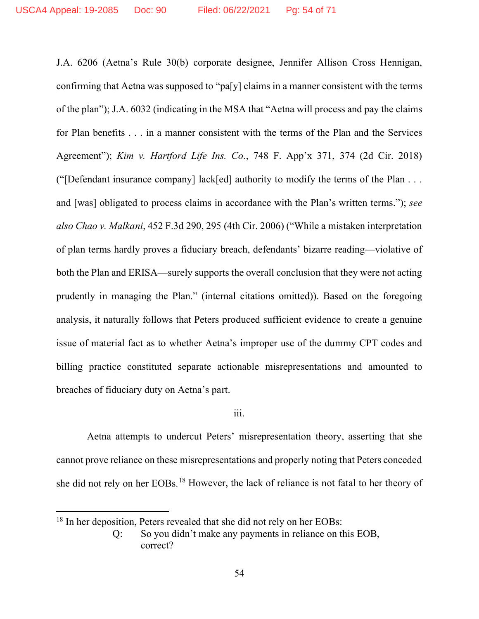J.A. 6206 (Aetna's Rule 30(b) corporate designee, Jennifer Allison Cross Hennigan, confirming that Aetna was supposed to "pa[y] claims in a manner consistent with the terms of the plan"); J.A. 6032 (indicating in the MSA that "Aetna will process and pay the claims for Plan benefits . . . in a manner consistent with the terms of the Plan and the Services Agreement"); *Kim v. Hartford Life Ins. Co.*, 748 F. App'x 371, 374 (2d Cir. 2018) ("[Defendant insurance company] lack[ed] authority to modify the terms of the Plan . . . and [was] obligated to process claims in accordance with the Plan's written terms."); *see also Chao v. Malkani*, 452 F.3d 290, 295 (4th Cir. 2006) ("While a mistaken interpretation of plan terms hardly proves a fiduciary breach, defendants' bizarre reading—violative of both the Plan and ERISA—surely supports the overall conclusion that they were not acting prudently in managing the Plan." (internal citations omitted)). Based on the foregoing analysis, it naturally follows that Peters produced sufficient evidence to create a genuine issue of material fact as to whether Aetna's improper use of the dummy CPT codes and billing practice constituted separate actionable misrepresentations and amounted to breaches of fiduciary duty on Aetna's part.

# iii.

Aetna attempts to undercut Peters' misrepresentation theory, asserting that she cannot prove reliance on these misrepresentations and properly noting that Peters conceded she did not rely on her EOBs.<sup>18</sup> However, the lack of reliance is not fatal to her theory of

<sup>&</sup>lt;sup>18</sup> In her deposition, Peters revealed that she did not rely on her EOBs:

Q: So you didn't make any payments in reliance on this EOB, correct?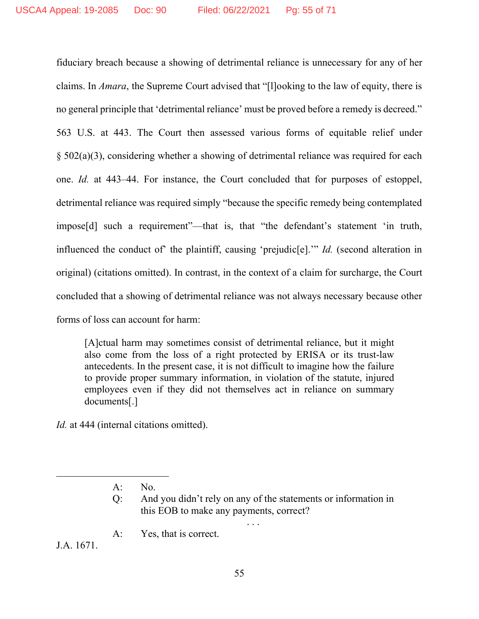fiduciary breach because a showing of detrimental reliance is unnecessary for any of her claims. In *Amara*, the Supreme Court advised that "[l]ooking to the law of equity, there is no general principle that 'detrimental reliance' must be proved before a remedy is decreed." 563 U.S. at 443. The Court then assessed various forms of equitable relief under § 502(a)(3), considering whether a showing of detrimental reliance was required for each one. *Id.* at 443–44. For instance, the Court concluded that for purposes of estoppel, detrimental reliance was required simply "because the specific remedy being contemplated impose[d] such a requirement"—that is, that "the defendant's statement 'in truth, influenced the conduct of' the plaintiff, causing 'prejudic[e].'" *Id.* (second alteration in original) (citations omitted). In contrast, in the context of a claim for surcharge, the Court concluded that a showing of detrimental reliance was not always necessary because other forms of loss can account for harm:

[A]ctual harm may sometimes consist of detrimental reliance, but it might also come from the loss of a right protected by ERISA or its trust-law antecedents. In the present case, it is not difficult to imagine how the failure to provide proper summary information, in violation of the statute, injured employees even if they did not themselves act in reliance on summary documents[.]

*Id.* at 444 (internal citations omitted).

Q: And you didn't rely on any of the statements or information in this EOB to make any payments, correct?

. . .

A: Yes, that is correct.

J.A. 1671.

A: No.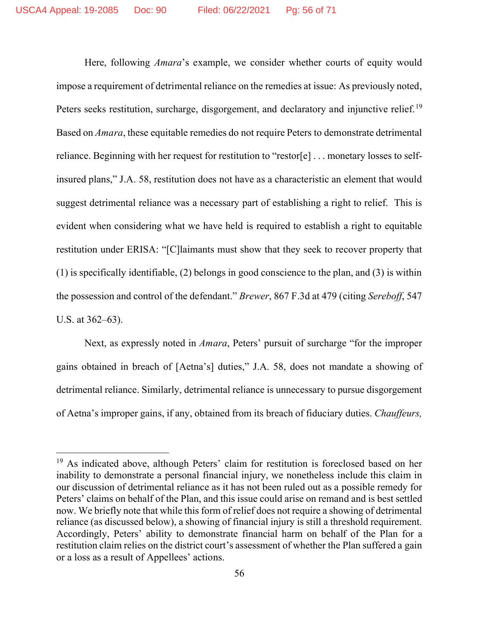Here, following *Amara*'s example, we consider whether courts of equity would impose a requirement of detrimental reliance on the remedies at issue: As previously noted, Peters seeks restitution, surcharge, disgorgement, and declaratory and injunctive relief.<sup>19</sup> Based on *Amara*, these equitable remedies do not require Peters to demonstrate detrimental reliance. Beginning with her request for restitution to "restor[e] . . . monetary losses to selfinsured plans," J.A. 58, restitution does not have as a characteristic an element that would suggest detrimental reliance was a necessary part of establishing a right to relief. This is evident when considering what we have held is required to establish a right to equitable restitution under ERISA: "[C]laimants must show that they seek to recover property that (1) is specifically identifiable, (2) belongs in good conscience to the plan, and (3) is within the possession and control of the defendant." *Brewer*, 867 F.3d at 479 (citing *Sereboff*, 547 U.S. at 362–63).

Next, as expressly noted in *Amara*, Peters' pursuit of surcharge "for the improper gains obtained in breach of [Aetna's] duties," J.A. 58, does not mandate a showing of detrimental reliance. Similarly, detrimental reliance is unnecessary to pursue disgorgement of Aetna's improper gains, if any, obtained from its breach of fiduciary duties. *Chauffeurs,* 

<sup>&</sup>lt;sup>19</sup> As indicated above, although Peters' claim for restitution is foreclosed based on her inability to demonstrate a personal financial injury, we nonetheless include this claim in our discussion of detrimental reliance as it has not been ruled out as a possible remedy for Peters' claims on behalf of the Plan, and this issue could arise on remand and is best settled now. We briefly note that while this form of relief does not require a showing of detrimental reliance (as discussed below), a showing of financial injury is still a threshold requirement. Accordingly, Peters' ability to demonstrate financial harm on behalf of the Plan for a restitution claim relies on the district court's assessment of whether the Plan suffered a gain or a loss as a result of Appellees' actions.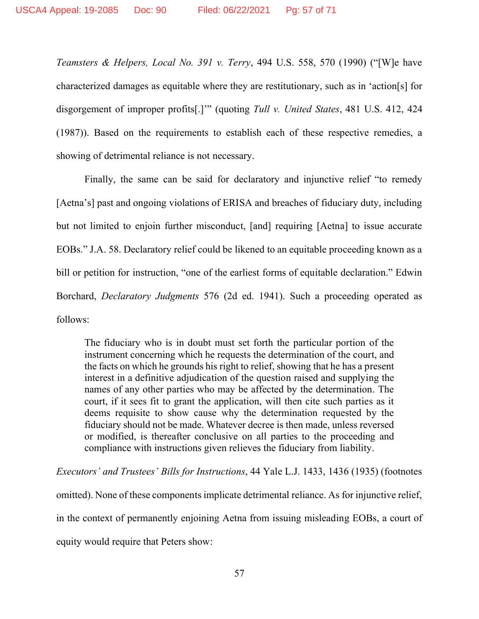*Teamsters & Helpers, Local No. 391 v. Terry*, 494 U.S. 558, 570 (1990) ("[W]e have characterized damages as equitable where they are restitutionary, such as in 'action[s] for disgorgement of improper profits[.]'" (quoting *Tull v. United States*, 481 U.S. 412, 424 (1987)). Based on the requirements to establish each of these respective remedies, a showing of detrimental reliance is not necessary.

Finally, the same can be said for declaratory and injunctive relief "to remedy [Aetna's] past and ongoing violations of ERISA and breaches of fiduciary duty, including but not limited to enjoin further misconduct, [and] requiring [Aetna] to issue accurate EOBs." J.A. 58. Declaratory relief could be likened to an equitable proceeding known as a bill or petition for instruction, "one of the earliest forms of equitable declaration." Edwin Borchard, *Declaratory Judgments* 576 (2d ed. 1941). Such a proceeding operated as follows:

The fiduciary who is in doubt must set forth the particular portion of the instrument concerning which he requests the determination of the court, and the facts on which he grounds his right to relief, showing that he has a present interest in a definitive adjudication of the question raised and supplying the names of any other parties who may be affected by the determination. The court, if it sees fit to grant the application, will then cite such parties as it deems requisite to show cause why the determination requested by the fiduciary should not be made. Whatever decree is then made, unless reversed or modified, is thereafter conclusive on all parties to the proceeding and compliance with instructions given relieves the fiduciary from liability.

*Executors' and Trustees' Bills for Instructions*, 44 Yale L.J. 1433, 1436 (1935) (footnotes omitted). None of these components implicate detrimental reliance. As for injunctive relief, in the context of permanently enjoining Aetna from issuing misleading EOBs, a court of equity would require that Peters show: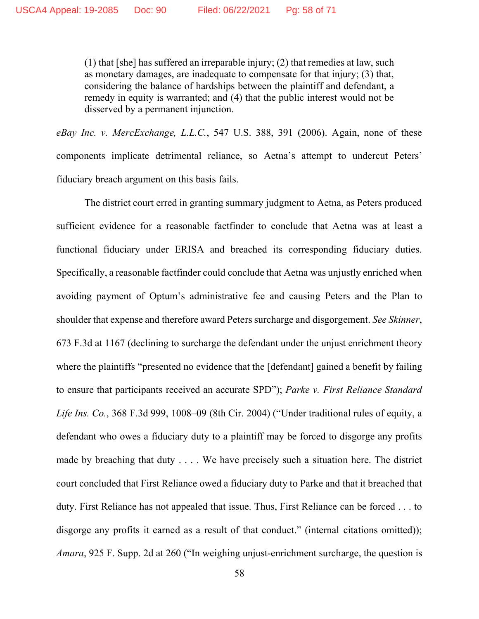(1) that [she] has suffered an irreparable injury; (2) that remedies at law, such as monetary damages, are inadequate to compensate for that injury; (3) that, considering the balance of hardships between the plaintiff and defendant, a remedy in equity is warranted; and (4) that the public interest would not be disserved by a permanent injunction.

*eBay Inc. v. MercExchange, L.L.C.*, 547 U.S. 388, 391 (2006). Again, none of these components implicate detrimental reliance, so Aetna's attempt to undercut Peters' fiduciary breach argument on this basis fails.

The district court erred in granting summary judgment to Aetna, as Peters produced sufficient evidence for a reasonable factfinder to conclude that Aetna was at least a functional fiduciary under ERISA and breached its corresponding fiduciary duties. Specifically, a reasonable factfinder could conclude that Aetna was unjustly enriched when avoiding payment of Optum's administrative fee and causing Peters and the Plan to shoulder that expense and therefore award Peters surcharge and disgorgement. *See Skinner*, 673 F.3d at 1167 (declining to surcharge the defendant under the unjust enrichment theory where the plaintiffs "presented no evidence that the [defendant] gained a benefit by failing to ensure that participants received an accurate SPD"); *Parke v. First Reliance Standard Life Ins. Co.*, 368 F.3d 999, 1008–09 (8th Cir. 2004) ("Under traditional rules of equity, a defendant who owes a fiduciary duty to a plaintiff may be forced to disgorge any profits made by breaching that duty . . . . We have precisely such a situation here. The district court concluded that First Reliance owed a fiduciary duty to Parke and that it breached that duty. First Reliance has not appealed that issue. Thus, First Reliance can be forced . . . to disgorge any profits it earned as a result of that conduct." (internal citations omitted)); *Amara*, 925 F. Supp. 2d at 260 ("In weighing unjust-enrichment surcharge, the question is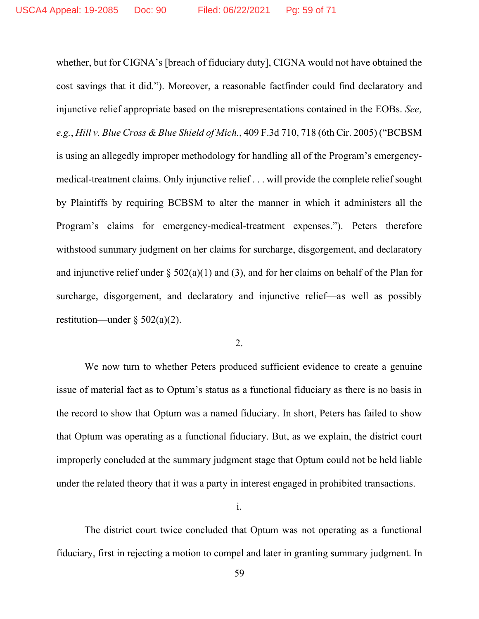whether, but for CIGNA's [breach of fiduciary duty], CIGNA would not have obtained the cost savings that it did."). Moreover, a reasonable factfinder could find declaratory and injunctive relief appropriate based on the misrepresentations contained in the EOBs. *See, e.g.*, *Hill v. Blue Cross & Blue Shield of Mich.*, 409 F.3d 710, 718 (6th Cir. 2005) ("BCBSM is using an allegedly improper methodology for handling all of the Program's emergencymedical-treatment claims. Only injunctive relief . . . will provide the complete relief sought by Plaintiffs by requiring BCBSM to alter the manner in which it administers all the Program's claims for emergency-medical-treatment expenses."). Peters therefore withstood summary judgment on her claims for surcharge, disgorgement, and declaratory and injunctive relief under  $\S 502(a)(1)$  and (3), and for her claims on behalf of the Plan for surcharge, disgorgement, and declaratory and injunctive relief—as well as possibly restitution—under  $\S 502(a)(2)$ .

### 2.

We now turn to whether Peters produced sufficient evidence to create a genuine issue of material fact as to Optum's status as a functional fiduciary as there is no basis in the record to show that Optum was a named fiduciary. In short, Peters has failed to show that Optum was operating as a functional fiduciary. But, as we explain, the district court improperly concluded at the summary judgment stage that Optum could not be held liable under the related theory that it was a party in interest engaged in prohibited transactions.

i.

The district court twice concluded that Optum was not operating as a functional fiduciary, first in rejecting a motion to compel and later in granting summary judgment. In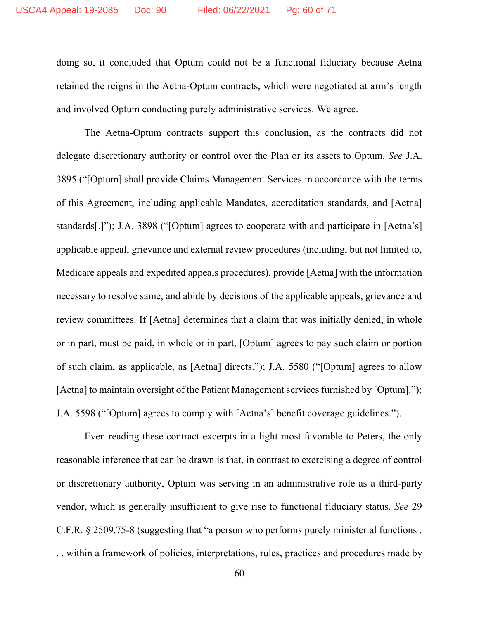doing so, it concluded that Optum could not be a functional fiduciary because Aetna retained the reigns in the Aetna-Optum contracts, which were negotiated at arm's length and involved Optum conducting purely administrative services. We agree.

The Aetna-Optum contracts support this conclusion, as the contracts did not delegate discretionary authority or control over the Plan or its assets to Optum. *See* J.A. 3895 ("[Optum] shall provide Claims Management Services in accordance with the terms of this Agreement, including applicable Mandates, accreditation standards, and [Aetna] standards[.]"); J.A. 3898 ("[Optum] agrees to cooperate with and participate in [Aetna's] applicable appeal, grievance and external review procedures (including, but not limited to, Medicare appeals and expedited appeals procedures), provide [Aetna] with the information necessary to resolve same, and abide by decisions of the applicable appeals, grievance and review committees. If [Aetna] determines that a claim that was initially denied, in whole or in part, must be paid, in whole or in part, [Optum] agrees to pay such claim or portion of such claim, as applicable, as [Aetna] directs."); J.A. 5580 ("[Optum] agrees to allow [Aetna] to maintain oversight of the Patient Management services furnished by [Optum]."); J.A. 5598 ("[Optum] agrees to comply with [Aetna's] benefit coverage guidelines.").

Even reading these contract excerpts in a light most favorable to Peters, the only reasonable inference that can be drawn is that, in contrast to exercising a degree of control or discretionary authority, Optum was serving in an administrative role as a third-party vendor, which is generally insufficient to give rise to functional fiduciary status. *See* 29 C.F.R. § 2509.75-8 (suggesting that "a person who performs purely ministerial functions . . . within a framework of policies, interpretations, rules, practices and procedures made by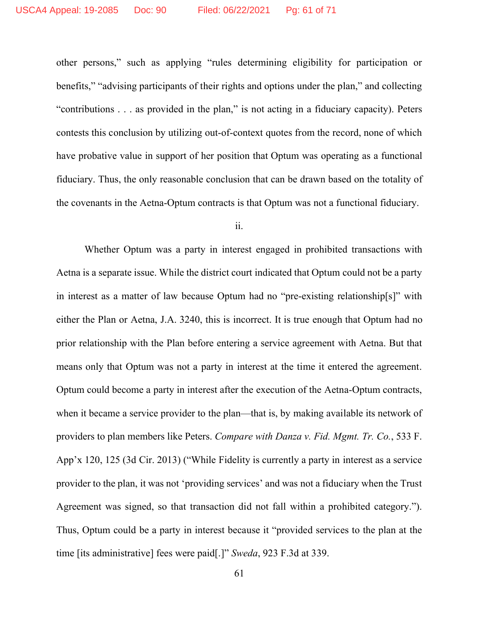other persons," such as applying "rules determining eligibility for participation or benefits," "advising participants of their rights and options under the plan," and collecting "contributions . . . as provided in the plan," is not acting in a fiduciary capacity). Peters contests this conclusion by utilizing out-of-context quotes from the record, none of which have probative value in support of her position that Optum was operating as a functional fiduciary. Thus, the only reasonable conclusion that can be drawn based on the totality of the covenants in the Aetna-Optum contracts is that Optum was not a functional fiduciary.

ii.

Whether Optum was a party in interest engaged in prohibited transactions with Aetna is a separate issue. While the district court indicated that Optum could not be a party in interest as a matter of law because Optum had no "pre-existing relationship[s]" with either the Plan or Aetna, J.A. 3240, this is incorrect. It is true enough that Optum had no prior relationship with the Plan before entering a service agreement with Aetna. But that means only that Optum was not a party in interest at the time it entered the agreement. Optum could become a party in interest after the execution of the Aetna-Optum contracts, when it became a service provider to the plan—that is, by making available its network of providers to plan members like Peters. *Compare with Danza v. Fid. Mgmt. Tr. Co.*, 533 F. App'x 120, 125 (3d Cir. 2013) ("While Fidelity is currently a party in interest as a service provider to the plan, it was not 'providing services' and was not a fiduciary when the Trust Agreement was signed, so that transaction did not fall within a prohibited category."). Thus, Optum could be a party in interest because it "provided services to the plan at the time [its administrative] fees were paid[.]" *Sweda*, 923 F.3d at 339.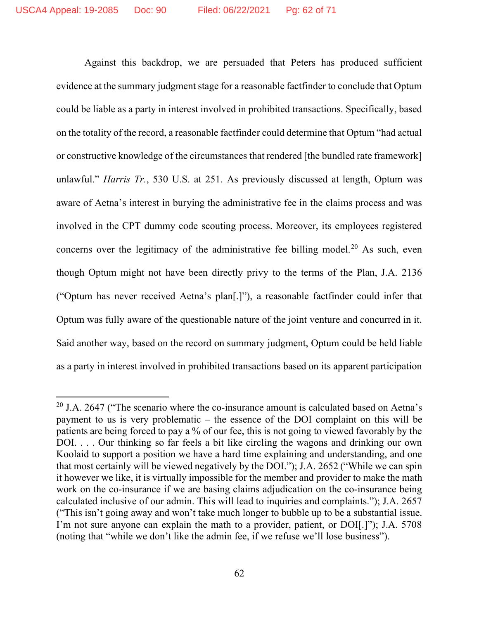Against this backdrop, we are persuaded that Peters has produced sufficient evidence at the summary judgment stage for a reasonable factfinder to conclude that Optum could be liable as a party in interest involved in prohibited transactions. Specifically, based on the totality of the record, a reasonable factfinder could determine that Optum "had actual or constructive knowledge of the circumstances that rendered [the bundled rate framework] unlawful." *Harris Tr.*, 530 U.S. at 251. As previously discussed at length, Optum was aware of Aetna's interest in burying the administrative fee in the claims process and was involved in the CPT dummy code scouting process. Moreover, its employees registered concerns over the legitimacy of the administrative fee billing model.<sup>20</sup> As such, even though Optum might not have been directly privy to the terms of the Plan, J.A. 2136 ("Optum has never received Aetna's plan[.]"), a reasonable factfinder could infer that Optum was fully aware of the questionable nature of the joint venture and concurred in it. Said another way, based on the record on summary judgment, Optum could be held liable as a party in interest involved in prohibited transactions based on its apparent participation

 $20$  J.A. 2647 ("The scenario where the co-insurance amount is calculated based on Aetna's payment to us is very problematic – the essence of the DOI complaint on this will be patients are being forced to pay a % of our fee, this is not going to viewed favorably by the DOI. . . . Our thinking so far feels a bit like circling the wagons and drinking our own Koolaid to support a position we have a hard time explaining and understanding, and one that most certainly will be viewed negatively by the DOI."); J.A. 2652 ("While we can spin it however we like, it is virtually impossible for the member and provider to make the math work on the co-insurance if we are basing claims adjudication on the co-insurance being calculated inclusive of our admin. This will lead to inquiries and complaints."); J.A. 2657 ("This isn't going away and won't take much longer to bubble up to be a substantial issue. I'm not sure anyone can explain the math to a provider, patient, or DOI[.]"); J.A. 5708 (noting that "while we don't like the admin fee, if we refuse we'll lose business").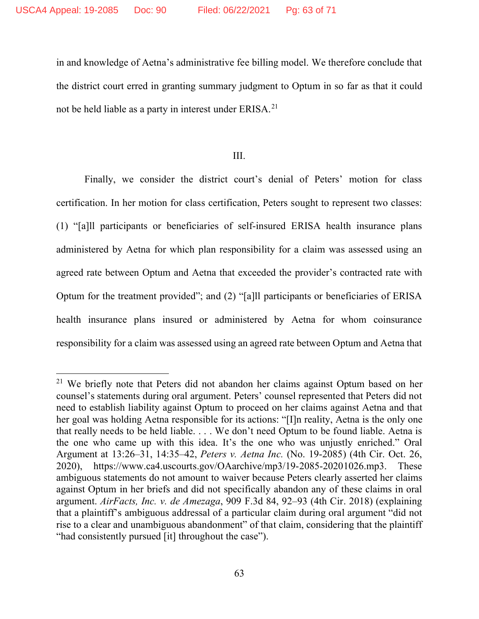in and knowledge of Aetna's administrative fee billing model. We therefore conclude that the district court erred in granting summary judgment to Optum in so far as that it could not be held liable as a party in interest under ERISA.<sup>21</sup>

### III.

Finally, we consider the district court's denial of Peters' motion for class certification. In her motion for class certification, Peters sought to represent two classes: (1) "[a]ll participants or beneficiaries of self-insured ERISA health insurance plans administered by Aetna for which plan responsibility for a claim was assessed using an agreed rate between Optum and Aetna that exceeded the provider's contracted rate with Optum for the treatment provided"; and (2) "[a]ll participants or beneficiaries of ERISA health insurance plans insured or administered by Aetna for whom coinsurance responsibility for a claim was assessed using an agreed rate between Optum and Aetna that

<sup>&</sup>lt;sup>21</sup> We briefly note that Peters did not abandon her claims against Optum based on her counsel's statements during oral argument. Peters' counsel represented that Peters did not need to establish liability against Optum to proceed on her claims against Aetna and that her goal was holding Aetna responsible for its actions: "[I]n reality, Aetna is the only one that really needs to be held liable. . . . We don't need Optum to be found liable. Aetna is the one who came up with this idea. It's the one who was unjustly enriched." Oral Argument at 13:26–31, 14:35–42, *Peters v. Aetna Inc.* (No. 19-2085) (4th Cir. Oct. 26, 2020), https://www.ca4.uscourts.gov/OAarchive/mp3/19-2085-20201026.mp3. These ambiguous statements do not amount to waiver because Peters clearly asserted her claims against Optum in her briefs and did not specifically abandon any of these claims in oral argument. *AirFacts, Inc. v. de Amezaga*, 909 F.3d 84, 92–93 (4th Cir. 2018) (explaining that a plaintiff's ambiguous addressal of a particular claim during oral argument "did not rise to a clear and unambiguous abandonment" of that claim, considering that the plaintiff "had consistently pursued [it] throughout the case").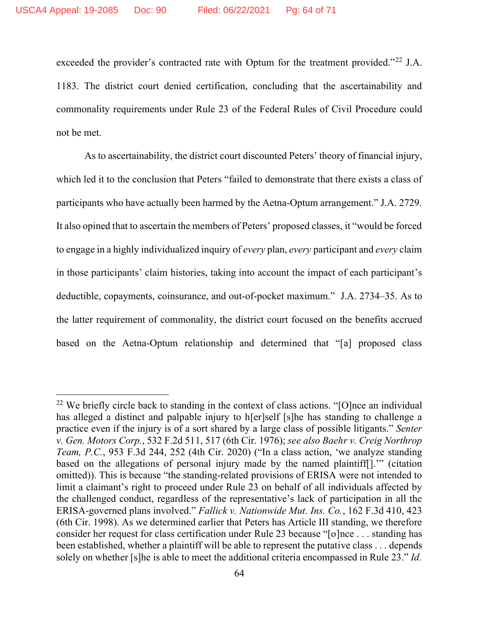exceeded the provider's contracted rate with Optum for the treatment provided."<sup>22</sup> J.A. 1183. The district court denied certification, concluding that the ascertainability and commonality requirements under Rule 23 of the Federal Rules of Civil Procedure could not be met.

As to ascertainability, the district court discounted Peters' theory of financial injury, which led it to the conclusion that Peters "failed to demonstrate that there exists a class of participants who have actually been harmed by the Aetna-Optum arrangement." J.A. 2729. It also opined that to ascertain the members of Peters' proposed classes, it "would be forced to engage in a highly individualized inquiry of *every* plan, *every* participant and *every* claim in those participants' claim histories, taking into account the impact of each participant's deductible, copayments, coinsurance, and out-of-pocket maximum." J.A. 2734–35. As to the latter requirement of commonality, the district court focused on the benefits accrued based on the Aetna-Optum relationship and determined that "[a] proposed class

<sup>&</sup>lt;sup>22</sup> We briefly circle back to standing in the context of class actions. "[O]nce an individual has alleged a distinct and palpable injury to h[er]self [s]he has standing to challenge a practice even if the injury is of a sort shared by a large class of possible litigants." *Senter v. Gen. Motors Corp.*, 532 F.2d 511, 517 (6th Cir. 1976); *see also Baehr v. Creig Northrop Team, P.C.*, 953 F.3d 244, 252 (4th Cir. 2020) ("In a class action, 'we analyze standing based on the allegations of personal injury made by the named plaintiff[].'" (citation omitted)). This is because "the standing-related provisions of ERISA were not intended to limit a claimant's right to proceed under Rule 23 on behalf of all individuals affected by the challenged conduct, regardless of the representative's lack of participation in all the ERISA-governed plans involved." *Fallick v. Nationwide Mut. Ins. Co.*, 162 F.3d 410, 423 (6th Cir. 1998). As we determined earlier that Peters has Article III standing, we therefore consider her request for class certification under Rule 23 because "[o]nce . . . standing has been established, whether a plaintiff will be able to represent the putative class . . . depends solely on whether [s]he is able to meet the additional criteria encompassed in Rule 23." *Id.*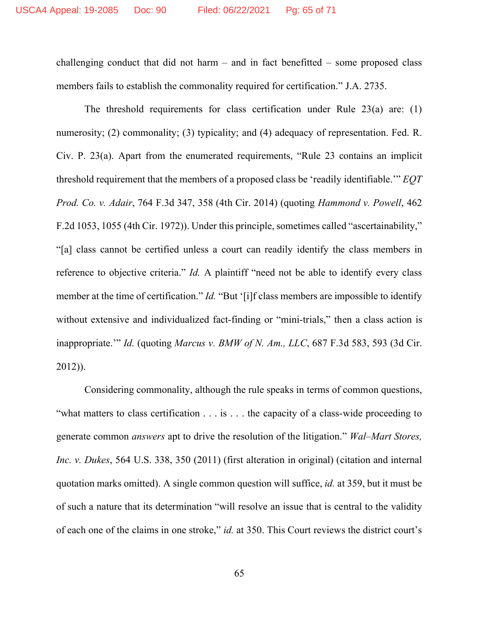challenging conduct that did not harm  $-$  and in fact benefitted  $-$  some proposed class members fails to establish the commonality required for certification." J.A. 2735.

The threshold requirements for class certification under Rule 23(a) are: (1) numerosity; (2) commonality; (3) typicality; and (4) adequacy of representation. Fed. R. Civ. P. 23(a). Apart from the enumerated requirements, "Rule 23 contains an implicit threshold requirement that the members of a proposed class be 'readily identifiable.'" *EQT Prod. Co. v. Adair*, 764 F.3d 347, 358 (4th Cir. 2014) (quoting *Hammond v. Powell*, 462 F.2d 1053, 1055 (4th Cir. 1972)). Under this principle, sometimes called "ascertainability," "[a] class cannot be certified unless a court can readily identify the class members in reference to objective criteria." *Id.* A plaintiff "need not be able to identify every class member at the time of certification." *Id.* "But '[i]f class members are impossible to identify without extensive and individualized fact-finding or "mini-trials," then a class action is inappropriate.'" *Id.* (quoting *Marcus v. BMW of N. Am., LLC*, 687 F.3d 583, 593 (3d Cir. 2012)).

Considering commonality, although the rule speaks in terms of common questions, "what matters to class certification . . . is . . . the capacity of a class-wide proceeding to generate common *answers* apt to drive the resolution of the litigation." *Wal–Mart Stores, Inc. v. Dukes*, 564 U.S. 338, 350 (2011) (first alteration in original) (citation and internal quotation marks omitted). A single common question will suffice, *id.* at 359, but it must be of such a nature that its determination "will resolve an issue that is central to the validity of each one of the claims in one stroke," *id.* at 350. This Court reviews the district court's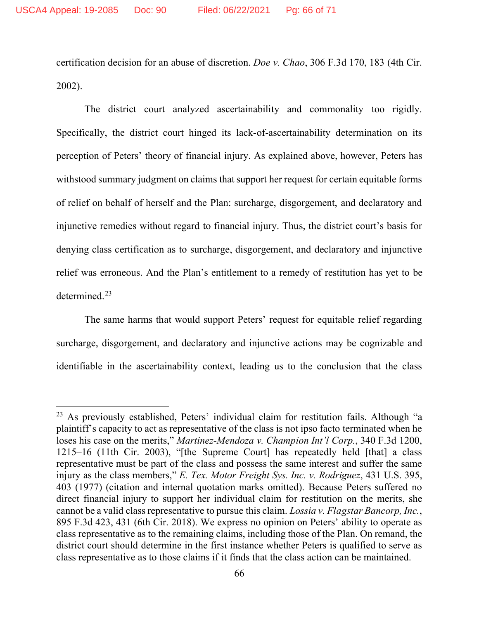certification decision for an abuse of discretion. *Doe v. Chao*, 306 F.3d 170, 183 (4th Cir. 2002).

The district court analyzed ascertainability and commonality too rigidly. Specifically, the district court hinged its lack-of-ascertainability determination on its perception of Peters' theory of financial injury. As explained above, however, Peters has withstood summary judgment on claims that support her request for certain equitable forms of relief on behalf of herself and the Plan: surcharge, disgorgement, and declaratory and injunctive remedies without regard to financial injury. Thus, the district court's basis for denying class certification as to surcharge, disgorgement, and declaratory and injunctive relief was erroneous. And the Plan's entitlement to a remedy of restitution has yet to be determined. 23

The same harms that would support Peters' request for equitable relief regarding surcharge, disgorgement, and declaratory and injunctive actions may be cognizable and identifiable in the ascertainability context, leading us to the conclusion that the class

<sup>23</sup> As previously established, Peters' individual claim for restitution fails. Although "a plaintiff's capacity to act as representative of the class is not ipso facto terminated when he loses his case on the merits," *Martinez-Mendoza v. Champion Int'l Corp.*, 340 F.3d 1200, 1215–16 (11th Cir. 2003), "[the Supreme Court] has repeatedly held [that] a class representative must be part of the class and possess the same interest and suffer the same injury as the class members," *E. Tex. Motor Freight Sys. Inc. v. Rodriguez*, 431 U.S. 395, 403 (1977) (citation and internal quotation marks omitted). Because Peters suffered no direct financial injury to support her individual claim for restitution on the merits, she cannot be a valid class representative to pursue this claim. *Lossia v. Flagstar Bancorp, Inc.*, 895 F.3d 423, 431 (6th Cir. 2018). We express no opinion on Peters' ability to operate as class representative as to the remaining claims, including those of the Plan. On remand, the district court should determine in the first instance whether Peters is qualified to serve as class representative as to those claims if it finds that the class action can be maintained.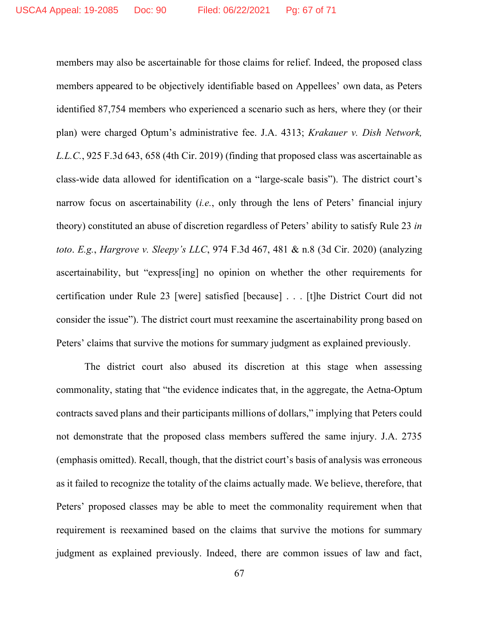members may also be ascertainable for those claims for relief. Indeed, the proposed class members appeared to be objectively identifiable based on Appellees' own data, as Peters identified 87,754 members who experienced a scenario such as hers, where they (or their plan) were charged Optum's administrative fee. J.A. 4313; *Krakauer v. Dish Network, L.L.C.*, 925 F.3d 643, 658 (4th Cir. 2019) (finding that proposed class was ascertainable as class-wide data allowed for identification on a "large-scale basis"). The district court's narrow focus on ascertainability (*i.e.*, only through the lens of Peters' financial injury theory) constituted an abuse of discretion regardless of Peters' ability to satisfy Rule 23 *in toto*. *E.g.*, *Hargrove v. Sleepy's LLC*, 974 F.3d 467, 481 & n.8 (3d Cir. 2020) (analyzing ascertainability, but "express[ing] no opinion on whether the other requirements for certification under Rule 23 [were] satisfied [because] . . . [t]he District Court did not consider the issue"). The district court must reexamine the ascertainability prong based on Peters' claims that survive the motions for summary judgment as explained previously.

The district court also abused its discretion at this stage when assessing commonality, stating that "the evidence indicates that, in the aggregate, the Aetna-Optum contracts saved plans and their participants millions of dollars," implying that Peters could not demonstrate that the proposed class members suffered the same injury. J.A. 2735 (emphasis omitted). Recall, though, that the district court's basis of analysis was erroneous as it failed to recognize the totality of the claims actually made. We believe, therefore, that Peters' proposed classes may be able to meet the commonality requirement when that requirement is reexamined based on the claims that survive the motions for summary judgment as explained previously. Indeed, there are common issues of law and fact,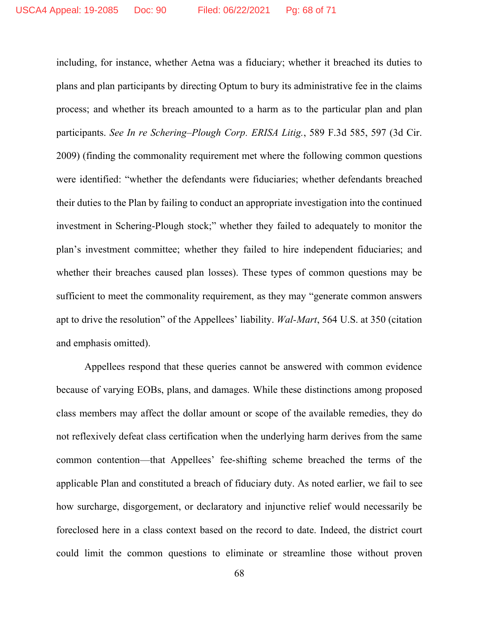including, for instance, whether Aetna was a fiduciary; whether it breached its duties to plans and plan participants by directing Optum to bury its administrative fee in the claims process; and whether its breach amounted to a harm as to the particular plan and plan participants. *See In re Schering–Plough Corp. ERISA Litig.*, 589 F.3d 585, 597 (3d Cir. 2009) (finding the commonality requirement met where the following common questions were identified: "whether the defendants were fiduciaries; whether defendants breached their duties to the Plan by failing to conduct an appropriate investigation into the continued investment in Schering-Plough stock;" whether they failed to adequately to monitor the plan's investment committee; whether they failed to hire independent fiduciaries; and whether their breaches caused plan losses). These types of common questions may be sufficient to meet the commonality requirement, as they may "generate common answers apt to drive the resolution" of the Appellees' liability. *Wal-Mart*, 564 U.S. at 350 (citation and emphasis omitted).

Appellees respond that these queries cannot be answered with common evidence because of varying EOBs, plans, and damages. While these distinctions among proposed class members may affect the dollar amount or scope of the available remedies, they do not reflexively defeat class certification when the underlying harm derives from the same common contention—that Appellees' fee-shifting scheme breached the terms of the applicable Plan and constituted a breach of fiduciary duty. As noted earlier, we fail to see how surcharge, disgorgement, or declaratory and injunctive relief would necessarily be foreclosed here in a class context based on the record to date. Indeed, the district court could limit the common questions to eliminate or streamline those without proven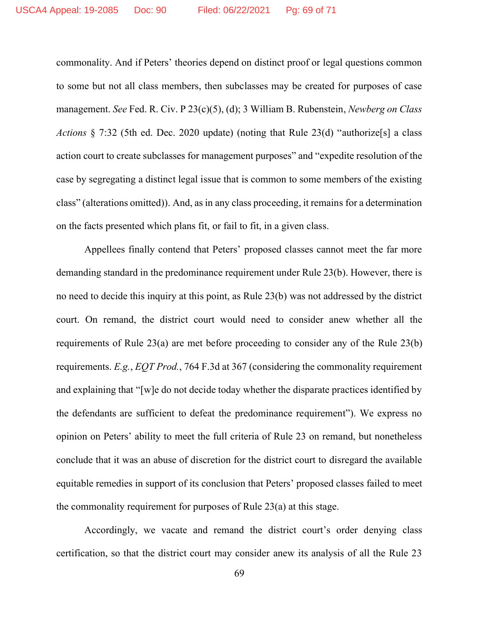commonality. And if Peters' theories depend on distinct proof or legal questions common to some but not all class members, then subclasses may be created for purposes of case management. *See* Fed. R. Civ. P 23(c)(5), (d); 3 William B. Rubenstein, *Newberg on Class Actions* § 7:32 (5th ed. Dec. 2020 update) (noting that Rule 23(d) "authorize[s] a class action court to create subclasses for management purposes" and "expedite resolution of the case by segregating a distinct legal issue that is common to some members of the existing class" (alterations omitted)). And, as in any class proceeding, it remains for a determination on the facts presented which plans fit, or fail to fit, in a given class.

Appellees finally contend that Peters' proposed classes cannot meet the far more demanding standard in the predominance requirement under Rule 23(b). However, there is no need to decide this inquiry at this point, as Rule 23(b) was not addressed by the district court. On remand, the district court would need to consider anew whether all the requirements of Rule 23(a) are met before proceeding to consider any of the Rule 23(b) requirements. *E.g.*, *EQT Prod.*, 764 F.3d at 367 (considering the commonality requirement and explaining that "[w]e do not decide today whether the disparate practices identified by the defendants are sufficient to defeat the predominance requirement"). We express no opinion on Peters' ability to meet the full criteria of Rule 23 on remand, but nonetheless conclude that it was an abuse of discretion for the district court to disregard the available equitable remedies in support of its conclusion that Peters' proposed classes failed to meet the commonality requirement for purposes of Rule 23(a) at this stage.

Accordingly, we vacate and remand the district court's order denying class certification, so that the district court may consider anew its analysis of all the Rule 23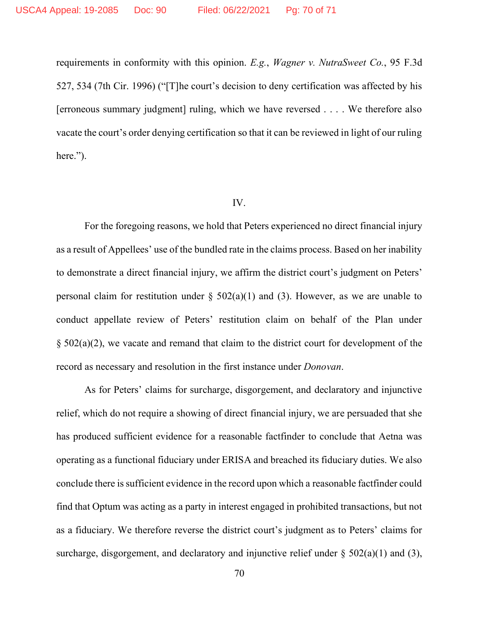requirements in conformity with this opinion. *E.g.*, *Wagner v. NutraSweet Co.*, 95 F.3d 527, 534 (7th Cir. 1996) ("[T]he court's decision to deny certification was affected by his [erroneous summary judgment] ruling, which we have reversed . . . . We therefore also vacate the court's order denying certification so that it can be reviewed in light of our ruling here.").

#### IV.

For the foregoing reasons, we hold that Peters experienced no direct financial injury as a result of Appellees' use of the bundled rate in the claims process. Based on her inability to demonstrate a direct financial injury, we affirm the district court's judgment on Peters' personal claim for restitution under  $\S$  502(a)(1) and (3). However, as we are unable to conduct appellate review of Peters' restitution claim on behalf of the Plan under § 502(a)(2), we vacate and remand that claim to the district court for development of the record as necessary and resolution in the first instance under *Donovan*.

As for Peters' claims for surcharge, disgorgement, and declaratory and injunctive relief, which do not require a showing of direct financial injury, we are persuaded that she has produced sufficient evidence for a reasonable factfinder to conclude that Aetna was operating as a functional fiduciary under ERISA and breached its fiduciary duties. We also conclude there is sufficient evidence in the record upon which a reasonable factfinder could find that Optum was acting as a party in interest engaged in prohibited transactions, but not as a fiduciary. We therefore reverse the district court's judgment as to Peters' claims for surcharge, disgorgement, and declaratory and injunctive relief under  $\S$  502(a)(1) and (3),